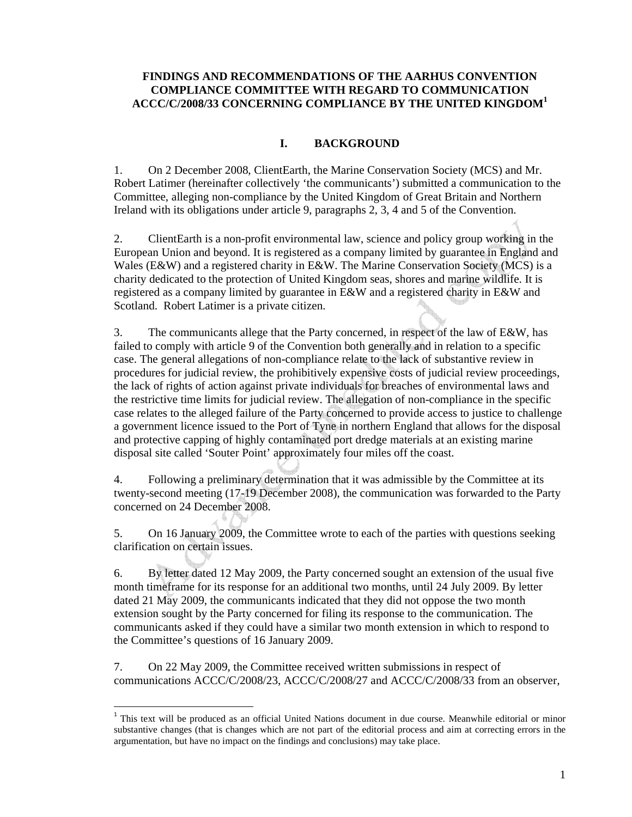# **FINDINGS AND RECOMMENDATIONS OF THE AARHUS CONVENTION COMPLIANCE COMMITTEE WITH REGARD TO COMMUNICATION ACCC/C/2008/33 CONCERNING COMPLIANCE BY THE UNITED KINGDOM<sup>1</sup>**

# **I. BACKGROUND**

1. On 2 December 2008, ClientEarth, the Marine Conservation Society (MCS) and Mr. Robert Latimer (hereinafter collectively 'the communicants') submitted a communication to the Committee, alleging non-compliance by the United Kingdom of Great Britain and Northern Ireland with its obligations under article 9, paragraphs 2, 3, 4 and 5 of the Convention.

2. ClientEarth is a non-profit environmental law, science and policy group working in the European Union and beyond. It is registered as a company limited by guarantee in England and Wales (E&W) and a registered charity in E&W. The Marine Conservation Society (MCS) is a charity dedicated to the protection of United Kingdom seas, shores and marine wildlife. It is registered as a company limited by guarantee in E&W and a registered charity in E&W and Scotland. Robert Latimer is a private citizen.

3. The communicants allege that the Party concerned, in respect of the law of E&W, has failed to comply with article 9 of the Convention both generally and in relation to a specific case. The general allegations of non-compliance relate to the lack of substantive review in procedures for judicial review, the prohibitively expensive costs of judicial review proceedings, the lack of rights of action against private individuals for breaches of environmental laws and the restrictive time limits for judicial review. The allegation of non-compliance in the specific case relates to the alleged failure of the Party concerned to provide access to justice to challenge a government licence issued to the Port of Tyne in northern England that allows for the disposal and protective capping of highly contaminated port dredge materials at an existing marine disposal site called 'Souter Point' approximately four miles off the coast.

4. Following a preliminary determination that it was admissible by the Committee at its twenty-second meeting (17-19 December 2008), the communication was forwarded to the Party concerned on 24 December 2008.

5. On 16 January 2009, the Committee wrote to each of the parties with questions seeking clarification on certain issues.

6. By letter dated 12 May 2009, the Party concerned sought an extension of the usual five month timeframe for its response for an additional two months, until 24 July 2009. By letter dated 21 May 2009, the communicants indicated that they did not oppose the two month extension sought by the Party concerned for filing its response to the communication. The communicants asked if they could have a similar two month extension in which to respond to the Committee's questions of 16 January 2009.

7. On 22 May 2009, the Committee received written submissions in respect of communications ACCC/C/2008/23, ACCC/C/2008/27 and ACCC/C/2008/33 from an observer,

<sup>&</sup>lt;sup>1</sup> This text will be produced as an official United Nations document in due course. Meanwhile editorial or minor substantive changes (that is changes which are not part of the editorial process and aim at correcting errors in the argumentation, but have no impact on the findings and conclusions) may take place.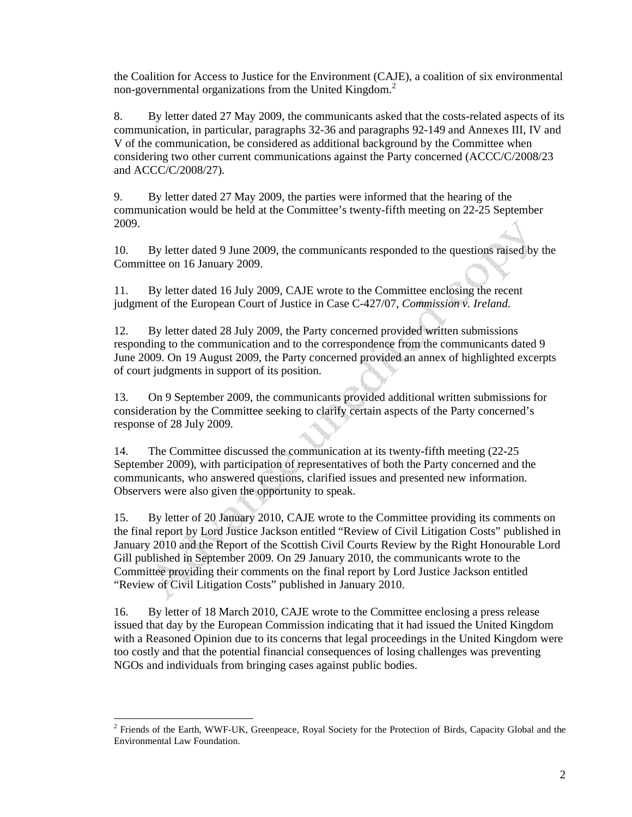the Coalition for Access to Justice for the Environment (CAJE), a coalition of six environmental non-governmental organizations from the United Kingdom. $^2$ 

8. By letter dated 27 May 2009, the communicants asked that the costs-related aspects of its communication, in particular, paragraphs 32-36 and paragraphs 92-149 and Annexes III, IV and V of the communication, be considered as additional background by the Committee when considering two other current communications against the Party concerned (ACCC/C/2008/23 and ACCC/C/2008/27).

9. By letter dated 27 May 2009, the parties were informed that the hearing of the communication would be held at the Committee's twenty-fifth meeting on 22-25 September 2009.

10. By letter dated 9 June 2009, the communicants responded to the questions raised by the Committee on 16 January 2009.

11. By letter dated 16 July 2009, CAJE wrote to the Committee enclosing the recent judgment of the European Court of Justice in Case C-427/07, *Commission v. Ireland*.

12. By letter dated 28 July 2009, the Party concerned provided written submissions responding to the communication and to the correspondence from the communicants dated 9 June 2009. On 19 August 2009, the Party concerned provided an annex of highlighted excerpts of court judgments in support of its position.

13. On 9 September 2009, the communicants provided additional written submissions for consideration by the Committee seeking to clarify certain aspects of the Party concerned's response of 28 July 2009.

14. The Committee discussed the communication at its twenty-fifth meeting (22-25 September 2009), with participation of representatives of both the Party concerned and the communicants, who answered questions, clarified issues and presented new information. Observers were also given the opportunity to speak.

15. By letter of 20 January 2010, CAJE wrote to the Committee providing its comments on the final report by Lord Justice Jackson entitled "Review of Civil Litigation Costs" published in January 2010 and the Report of the Scottish Civil Courts Review by the Right Honourable Lord Gill published in September 2009. On 29 January 2010, the communicants wrote to the Committee providing their comments on the final report by Lord Justice Jackson entitled "Review of Civil Litigation Costs" published in January 2010.

16. By letter of 18 March 2010, CAJE wrote to the Committee enclosing a press release issued that day by the European Commission indicating that it had issued the United Kingdom with a Reasoned Opinion due to its concerns that legal proceedings in the United Kingdom were too costly and that the potential financial consequences of losing challenges was preventing NGOs and individuals from bringing cases against public bodies.

 $\overline{a}$ <sup>2</sup> Friends of the Earth, WWF-UK, Greenpeace, Royal Society for the Protection of Birds, Capacity Global and the Environmental Law Foundation.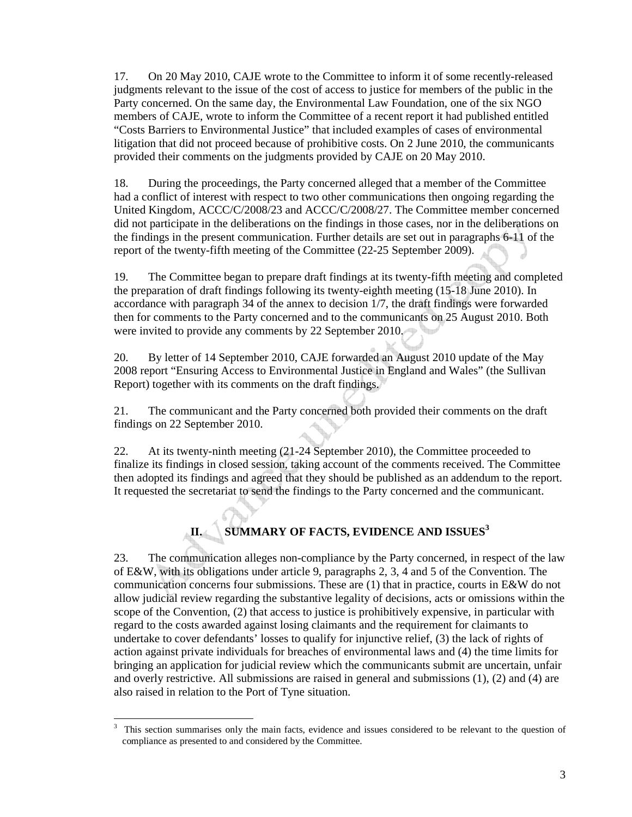17. On 20 May 2010, CAJE wrote to the Committee to inform it of some recently-released judgments relevant to the issue of the cost of access to justice for members of the public in the Party concerned. On the same day, the Environmental Law Foundation, one of the six NGO members of CAJE, wrote to inform the Committee of a recent report it had published entitled "Costs Barriers to Environmental Justice" that included examples of cases of environmental litigation that did not proceed because of prohibitive costs. On 2 June 2010, the communicants provided their comments on the judgments provided by CAJE on 20 May 2010.

18. During the proceedings, the Party concerned alleged that a member of the Committee had a conflict of interest with respect to two other communications then ongoing regarding the United Kingdom, ACCC/C/2008/23 and ACCC/C/2008/27. The Committee member concerned did not participate in the deliberations on the findings in those cases, nor in the deliberations on the findings in the present communication. Further details are set out in paragraphs 6-11 of the report of the twenty-fifth meeting of the Committee (22-25 September 2009).

19. The Committee began to prepare draft findings at its twenty-fifth meeting and completed the preparation of draft findings following its twenty-eighth meeting (15-18 June 2010). In accordance with paragraph 34 of the annex to decision 1/7, the draft findings were forwarded then for comments to the Party concerned and to the communicants on 25 August 2010. Both were invited to provide any comments by 22 September 2010.

20. By letter of 14 September 2010, CAJE forwarded an August 2010 update of the May 2008 report "Ensuring Access to Environmental Justice in England and Wales" (the Sullivan Report) together with its comments on the draft findings.

21. The communicant and the Party concerned both provided their comments on the draft findings on 22 September 2010.

22. At its twenty-ninth meeting (21-24 September 2010), the Committee proceeded to finalize its findings in closed session, taking account of the comments received. The Committee then adopted its findings and agreed that they should be published as an addendum to the report. It requested the secretariat to send the findings to the Party concerned and the communicant.

# **II. SUMMARY OF FACTS, EVIDENCE AND ISSUES<sup>3</sup>**

23. The communication alleges non-compliance by the Party concerned, in respect of the law of E&W, with its obligations under article 9, paragraphs 2, 3, 4 and 5 of the Convention. The communication concerns four submissions. These are (1) that in practice, courts in E&W do not allow judicial review regarding the substantive legality of decisions, acts or omissions within the scope of the Convention, (2) that access to justice is prohibitively expensive, in particular with regard to the costs awarded against losing claimants and the requirement for claimants to undertake to cover defendants' losses to qualify for injunctive relief, (3) the lack of rights of action against private individuals for breaches of environmental laws and (4) the time limits for bringing an application for judicial review which the communicants submit are uncertain, unfair and overly restrictive. All submissions are raised in general and submissions (1), (2) and (4) are also raised in relation to the Port of Tyne situation.

 $\overline{a}$ 3 This section summarises only the main facts, evidence and issues considered to be relevant to the question of compliance as presented to and considered by the Committee.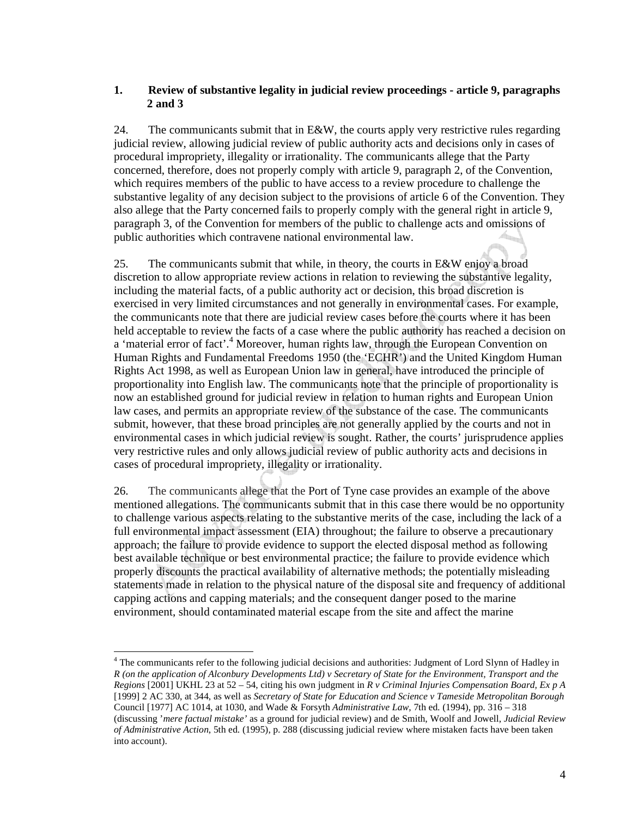## **1. Review of substantive legality in judicial review proceedings - article 9, paragraphs 2 and 3**

24. The communicants submit that in E&W, the courts apply very restrictive rules regarding judicial review, allowing judicial review of public authority acts and decisions only in cases of procedural impropriety, illegality or irrationality. The communicants allege that the Party concerned, therefore, does not properly comply with article 9, paragraph 2, of the Convention, which requires members of the public to have access to a review procedure to challenge the substantive legality of any decision subject to the provisions of article 6 of the Convention. They also allege that the Party concerned fails to properly comply with the general right in article 9, paragraph 3, of the Convention for members of the public to challenge acts and omissions of public authorities which contravene national environmental law.

25. The communicants submit that while, in theory, the courts in E&W enjoy a broad discretion to allow appropriate review actions in relation to reviewing the substantive legality, including the material facts, of a public authority act or decision, this broad discretion is exercised in very limited circumstances and not generally in environmental cases. For example, the communicants note that there are judicial review cases before the courts where it has been held acceptable to review the facts of a case where the public authority has reached a decision on a 'material error of fact'.<sup>4</sup> Moreover, human rights law, through the European Convention on Human Rights and Fundamental Freedoms 1950 (the 'ECHR') and the United Kingdom Human Rights Act 1998, as well as European Union law in general, have introduced the principle of proportionality into English law. The communicants note that the principle of proportionality is now an established ground for judicial review in relation to human rights and European Union law cases, and permits an appropriate review of the substance of the case. The communicants submit, however, that these broad principles are not generally applied by the courts and not in environmental cases in which judicial review is sought. Rather, the courts' jurisprudence applies very restrictive rules and only allows judicial review of public authority acts and decisions in cases of procedural impropriety, illegality or irrationality.

26. The communicants allege that the Port of Tyne case provides an example of the above mentioned allegations. The communicants submit that in this case there would be no opportunity to challenge various aspects relating to the substantive merits of the case, including the lack of a full environmental impact assessment (EIA) throughout; the failure to observe a precautionary approach; the failure to provide evidence to support the elected disposal method as following best available technique or best environmental practice; the failure to provide evidence which properly discounts the practical availability of alternative methods; the potentially misleading statements made in relation to the physical nature of the disposal site and frequency of additional capping actions and capping materials; and the consequent danger posed to the marine environment, should contaminated material escape from the site and affect the marine

<sup>&</sup>lt;sup>4</sup> The communicants refer to the following judicial decisions and authorities: Judgment of Lord Slynn of Hadley in *R (on the application of Alconbury Developments Ltd) v Secretary of State for the Environment, Transport and the Regions* [2001] UKHL 23 at 52 – 54, citing his own judgment in *R v Criminal Injuries Compensation Board, Ex p A*  [1999] 2 AC 330, at 344, as well as *Secretary of State for Education and Science v Tameside Metropolitan Borough*  Council [1977] AC 1014, at 1030, and Wade & Forsyth *Administrative Law*, 7th ed. (1994), pp. 316 – 318 (discussing '*mere factual mistake'* as a ground for judicial review) and de Smith, Woolf and Jowell, *Judicial Review of Administrative Action*, 5th ed. (1995), p. 288 (discussing judicial review where mistaken facts have been taken into account).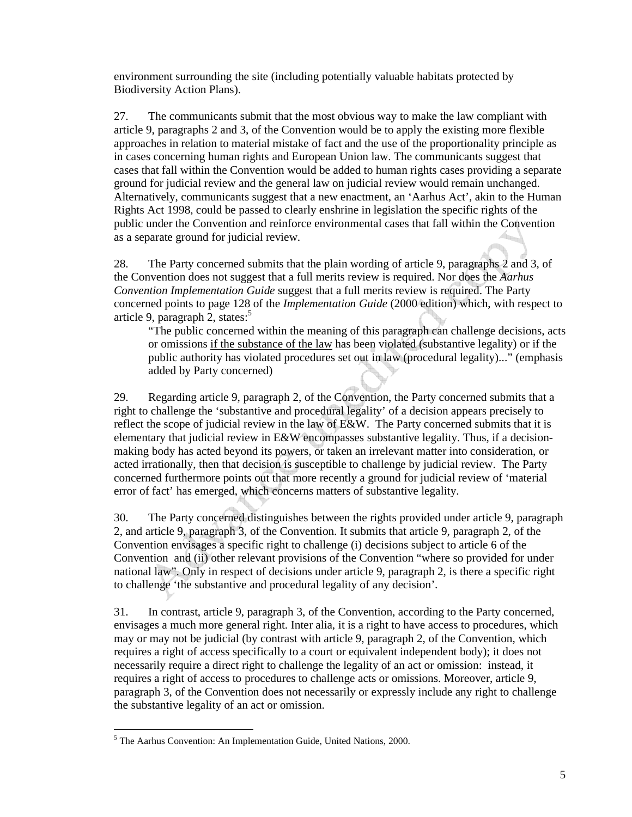environment surrounding the site (including potentially valuable habitats protected by Biodiversity Action Plans).

27. The communicants submit that the most obvious way to make the law compliant with article 9, paragraphs 2 and 3, of the Convention would be to apply the existing more flexible approaches in relation to material mistake of fact and the use of the proportionality principle as in cases concerning human rights and European Union law. The communicants suggest that cases that fall within the Convention would be added to human rights cases providing a separate ground for judicial review and the general law on judicial review would remain unchanged. Alternatively, communicants suggest that a new enactment, an 'Aarhus Act', akin to the Human Rights Act 1998, could be passed to clearly enshrine in legislation the specific rights of the public under the Convention and reinforce environmental cases that fall within the Convention as a separate ground for judicial review.

28. The Party concerned submits that the plain wording of article 9, paragraphs 2 and 3, of the Convention does not suggest that a full merits review is required. Nor does the *Aarhus Convention Implementation Guide* suggest that a full merits review is required. The Party concerned points to page 128 of the *Implementation Guide* (2000 edition) which, with respect to article 9, paragraph  $2$ , states:<sup>5</sup>

"The public concerned within the meaning of this paragraph can challenge decisions, acts or omissions if the substance of the law has been violated (substantive legality) or if the public authority has violated procedures set out in law (procedural legality)..." (emphasis added by Party concerned)

29. Regarding article 9, paragraph 2, of the Convention, the Party concerned submits that a right to challenge the 'substantive and procedural legality' of a decision appears precisely to reflect the scope of judicial review in the law of E&W. The Party concerned submits that it is elementary that judicial review in E&W encompasses substantive legality. Thus, if a decisionmaking body has acted beyond its powers, or taken an irrelevant matter into consideration, or acted irrationally, then that decision is susceptible to challenge by judicial review. The Party concerned furthermore points out that more recently a ground for judicial review of 'material error of fact' has emerged, which concerns matters of substantive legality.

30. The Party concerned distinguishes between the rights provided under article 9, paragraph 2, and article 9, paragraph 3, of the Convention. It submits that article 9, paragraph 2, of the Convention envisages a specific right to challenge (i) decisions subject to article 6 of the Convention and (ii) other relevant provisions of the Convention "where so provided for under national law". Only in respect of decisions under article 9, paragraph 2, is there a specific right to challenge 'the substantive and procedural legality of any decision'.

31. In contrast, article 9, paragraph 3, of the Convention, according to the Party concerned, envisages a much more general right. Inter alia, it is a right to have access to procedures, which may or may not be judicial (by contrast with article 9, paragraph 2, of the Convention, which requires a right of access specifically to a court or equivalent independent body); it does not necessarily require a direct right to challenge the legality of an act or omission: instead, it requires a right of access to procedures to challenge acts or omissions. Moreover, article 9, paragraph 3, of the Convention does not necessarily or expressly include any right to challenge the substantive legality of an act or omission.

 $\overline{a}$ <sup>5</sup> The Aarhus Convention: An Implementation Guide, United Nations, 2000.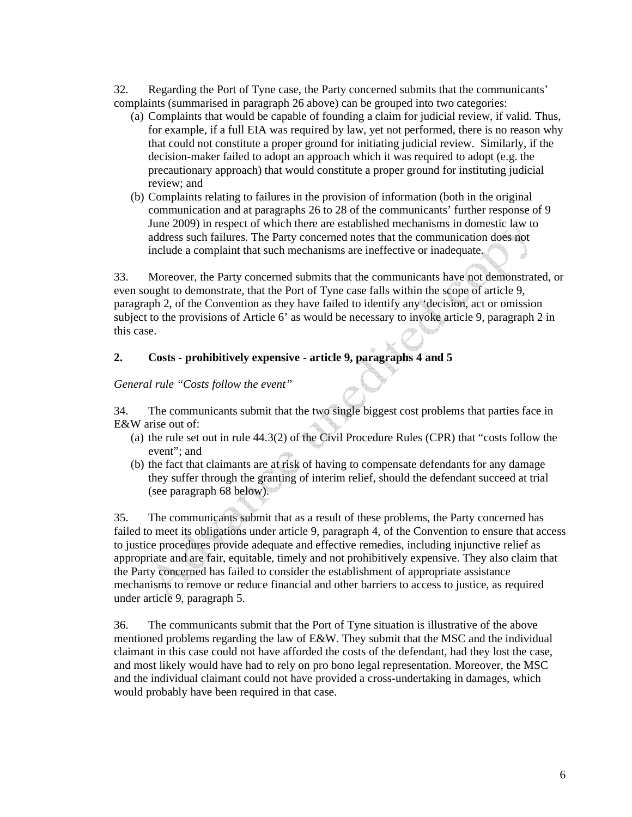32. Regarding the Port of Tyne case, the Party concerned submits that the communicants' complaints (summarised in paragraph 26 above) can be grouped into two categories:

- (a) Complaints that would be capable of founding a claim for judicial review, if valid. Thus, for example, if a full EIA was required by law, yet not performed, there is no reason why that could not constitute a proper ground for initiating judicial review. Similarly, if the decision-maker failed to adopt an approach which it was required to adopt (e.g. the precautionary approach) that would constitute a proper ground for instituting judicial review; and
- (b) Complaints relating to failures in the provision of information (both in the original communication and at paragraphs 26 to 28 of the communicants' further response of 9 June 2009) in respect of which there are established mechanisms in domestic law to address such failures. The Party concerned notes that the communication does not include a complaint that such mechanisms are ineffective or inadequate.

33. Moreover, the Party concerned submits that the communicants have not demonstrated, or even sought to demonstrate, that the Port of Tyne case falls within the scope of article 9, paragraph 2, of the Convention as they have failed to identify any 'decision, act or omission subject to the provisions of Article 6' as would be necessary to invoke article 9, paragraph 2 in this case.

# **2. Costs - prohibitively expensive - article 9, paragraphs 4 and 5**

*General rule "Costs follow the event"* 

34. The communicants submit that the two single biggest cost problems that parties face in E&W arise out of:

- (a) the rule set out in rule 44.3(2) of the Civil Procedure Rules (CPR) that "costs follow the event"; and
- (b) the fact that claimants are at risk of having to compensate defendants for any damage they suffer through the granting of interim relief, should the defendant succeed at trial (see paragraph 68 below).

35. The communicants submit that as a result of these problems, the Party concerned has failed to meet its obligations under article 9, paragraph 4, of the Convention to ensure that access to justice procedures provide adequate and effective remedies, including injunctive relief as appropriate and are fair, equitable, timely and not prohibitively expensive. They also claim that the Party concerned has failed to consider the establishment of appropriate assistance mechanisms to remove or reduce financial and other barriers to access to justice, as required under article 9, paragraph 5.

36. The communicants submit that the Port of Tyne situation is illustrative of the above mentioned problems regarding the law of E&W. They submit that the MSC and the individual claimant in this case could not have afforded the costs of the defendant, had they lost the case, and most likely would have had to rely on pro bono legal representation. Moreover, the MSC and the individual claimant could not have provided a cross-undertaking in damages, which would probably have been required in that case.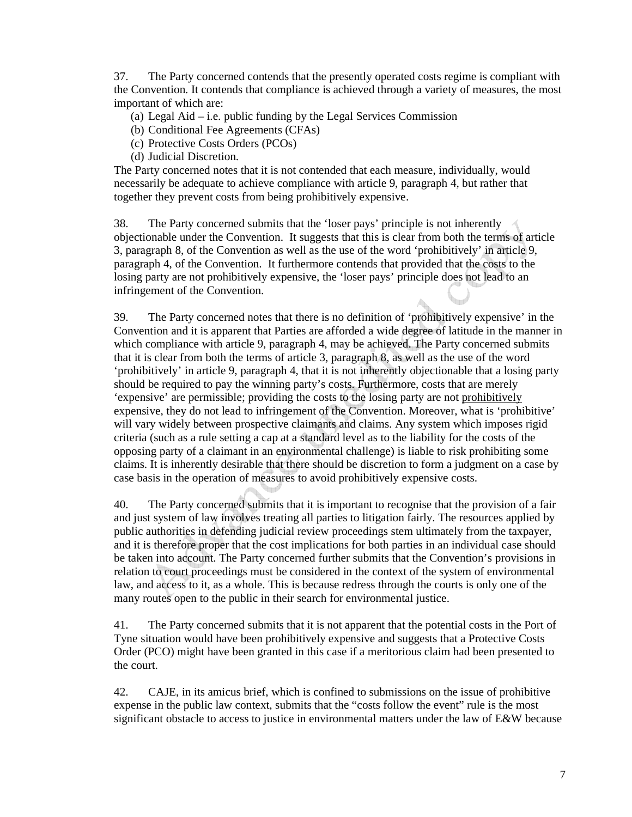37. The Party concerned contends that the presently operated costs regime is compliant with the Convention. It contends that compliance is achieved through a variety of measures, the most important of which are:

- (a) Legal Aid i.e. public funding by the Legal Services Commission
- (b) Conditional Fee Agreements (CFAs)
- (c) Protective Costs Orders (PCOs)
- (d) Judicial Discretion.

The Party concerned notes that it is not contended that each measure, individually, would necessarily be adequate to achieve compliance with article 9, paragraph 4, but rather that together they prevent costs from being prohibitively expensive.

38. The Party concerned submits that the 'loser pays' principle is not inherently objectionable under the Convention. It suggests that this is clear from both the terms of article 3, paragraph 8, of the Convention as well as the use of the word 'prohibitively' in article 9, paragraph 4, of the Convention. It furthermore contends that provided that the costs to the losing party are not prohibitively expensive, the 'loser pays' principle does not lead to an infringement of the Convention.

39. The Party concerned notes that there is no definition of 'prohibitively expensive' in the Convention and it is apparent that Parties are afforded a wide degree of latitude in the manner in which compliance with article 9, paragraph 4, may be achieved. The Party concerned submits that it is clear from both the terms of article 3, paragraph 8, as well as the use of the word 'prohibitively' in article 9, paragraph 4, that it is not inherently objectionable that a losing party should be required to pay the winning party's costs. Furthermore, costs that are merely 'expensive' are permissible; providing the costs to the losing party are not prohibitively expensive, they do not lead to infringement of the Convention. Moreover, what is 'prohibitive' will vary widely between prospective claimants and claims. Any system which imposes rigid criteria (such as a rule setting a cap at a standard level as to the liability for the costs of the opposing party of a claimant in an environmental challenge) is liable to risk prohibiting some claims. It is inherently desirable that there should be discretion to form a judgment on a case by case basis in the operation of measures to avoid prohibitively expensive costs.

40. The Party concerned submits that it is important to recognise that the provision of a fair and just system of law involves treating all parties to litigation fairly. The resources applied by public authorities in defending judicial review proceedings stem ultimately from the taxpayer, and it is therefore proper that the cost implications for both parties in an individual case should be taken into account. The Party concerned further submits that the Convention's provisions in relation to court proceedings must be considered in the context of the system of environmental law, and access to it, as a whole. This is because redress through the courts is only one of the many routes open to the public in their search for environmental justice.

41. The Party concerned submits that it is not apparent that the potential costs in the Port of Tyne situation would have been prohibitively expensive and suggests that a Protective Costs Order (PCO) might have been granted in this case if a meritorious claim had been presented to the court.

42. CAJE, in its amicus brief, which is confined to submissions on the issue of prohibitive expense in the public law context, submits that the "costs follow the event" rule is the most significant obstacle to access to justice in environmental matters under the law of E&W because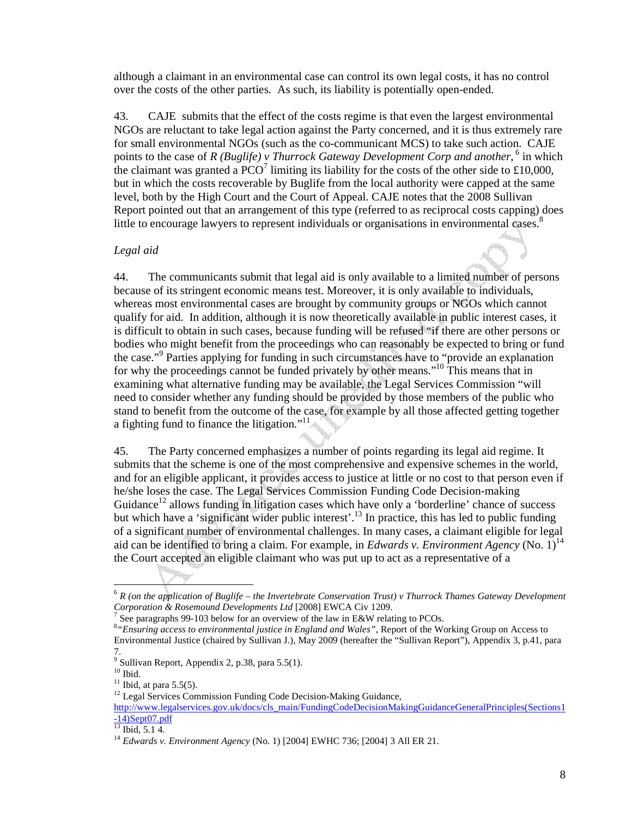although a claimant in an environmental case can control its own legal costs, it has no control over the costs of the other parties. As such, its liability is potentially open-ended.

43. CAJE submits that the effect of the costs regime is that even the largest environmental NGOs are reluctant to take legal action against the Party concerned, and it is thus extremely rare for small environmental NGOs (such as the co-communicant MCS) to take such action. CAJE points to the case of *R (Buglife) v Thurrock Gateway Development Corp and another*, <sup>6</sup> in which the claimant was granted a  $\overline{PCO}^7$  limiting its liability for the costs of the other side to £10,000, but in which the costs recoverable by Buglife from the local authority were capped at the same level, both by the High Court and the Court of Appeal. CAJE notes that the 2008 Sullivan Report pointed out that an arrangement of this type (referred to as reciprocal costs capping) does little to encourage lawyers to represent individuals or organisations in environmental cases.<sup>8</sup>

#### *Legal aid*

44. The communicants submit that legal aid is only available to a limited number of persons because of its stringent economic means test. Moreover, it is only available to individuals, whereas most environmental cases are brought by community groups or NGOs which cannot qualify for aid. In addition, although it is now theoretically available in public interest cases, it is difficult to obtain in such cases, because funding will be refused "if there are other persons or bodies who might benefit from the proceedings who can reasonably be expected to bring or fund the case."<sup>9</sup> Parties applying for funding in such circumstances have to "provide an explanation for why the proceedings cannot be funded privately by other means."<sup>10</sup> This means that in examining what alternative funding may be available, the Legal Services Commission "will need to consider whether any funding should be provided by those members of the public who stand to benefit from the outcome of the case, for example by all those affected getting together a fighting fund to finance the litigation."<sup>11</sup>

45. The Party concerned emphasizes a number of points regarding its legal aid regime. It submits that the scheme is one of the most comprehensive and expensive schemes in the world, and for an eligible applicant, it provides access to justice at little or no cost to that person even if he/she loses the case. The Legal Services Commission Funding Code Decision-making Guidance<sup>12</sup> allows funding in litigation cases which have only a 'borderline' chance of success but which have a 'significant wider public interest'.<sup>13</sup> In practice, this has led to public funding of a significant number of environmental challenges. In many cases, a claimant eligible for legal aid can be identified to bring a claim. For example, in *Edwards v. Environment Agency* (No. 1)<sup>14</sup> the Court accepted an eligible claimant who was put up to act as a representative of a

 6 *R (on the application of Buglife – the Invertebrate Conservation Trust) v Thurrock Thames Gateway Development Corporation & Rosemound Developments Ltd* [2008] EWCA Civ 1209.

<sup>&</sup>lt;sup>7</sup> See paragraphs 99-103 below for an overview of the law in E&W relating to PCOs.

<sup>8</sup> *"Ensuring access to environmental justice in England and Wales"*, Report of the Working Group on Access to Environmental Justice (chaired by Sullivan J.), May 2009 (hereafter the "Sullivan Report"), Appendix 3, p.41, para 7.

 $9^9$  Sullivan Report, Appendix 2, p.38, para 5.5(1).

 $10$  Ibid.

 $11$  Ibid, at para 5.5(5).

<sup>&</sup>lt;sup>12</sup> Legal Services Commission Funding Code Decision-Making Guidance,

http://www.legalservices.gov.uk/docs/cls\_main/FundingCodeDecisionMakingGuidanceGeneralPrinciples(Sections1 -14)Sept07.pdf

 $13$  Ibid, 5.1 4.

<sup>14</sup> *Edwards v. Environment Agency* (No. 1) [2004] EWHC 736; [2004] 3 All ER 21.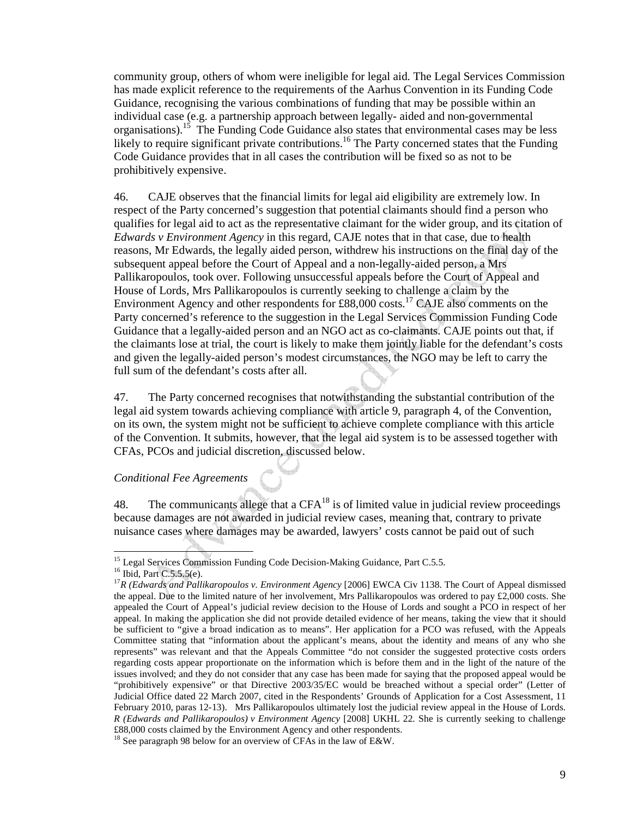community group, others of whom were ineligible for legal aid. The Legal Services Commission has made explicit reference to the requirements of the Aarhus Convention in its Funding Code Guidance, recognising the various combinations of funding that may be possible within an individual case (e.g. a partnership approach between legally- aided and non-governmental organisations).<sup>15</sup> The Funding Code Guidance also states that environmental cases may be less likely to require significant private contributions.<sup>16</sup> The Party concerned states that the Funding Code Guidance provides that in all cases the contribution will be fixed so as not to be prohibitively expensive.

46. CAJE observes that the financial limits for legal aid eligibility are extremely low. In respect of the Party concerned's suggestion that potential claimants should find a person who qualifies for legal aid to act as the representative claimant for the wider group, and its citation of *Edwards v Environment Agency* in this regard, CAJE notes that in that case, due to health reasons, Mr Edwards, the legally aided person, withdrew his instructions on the final day of the subsequent appeal before the Court of Appeal and a non-legally-aided person, a Mrs Pallikaropoulos, took over. Following unsuccessful appeals before the Court of Appeal and House of Lords, Mrs Pallikaropoulos is currently seeking to challenge a claim by the Environment Agency and other respondents for  $\text{\pounds}88,000 \text{ costs.}^{17}$  CAJE also comments on the Party concerned's reference to the suggestion in the Legal Services Commission Funding Code Guidance that a legally-aided person and an NGO act as co-claimants. CAJE points out that, if the claimants lose at trial, the court is likely to make them jointly liable for the defendant's costs and given the legally-aided person's modest circumstances, the NGO may be left to carry the full sum of the defendant's costs after all.

47. The Party concerned recognises that notwithstanding the substantial contribution of the legal aid system towards achieving compliance with article 9, paragraph 4, of the Convention, on its own, the system might not be sufficient to achieve complete compliance with this article of the Convention. It submits, however, that the legal aid system is to be assessed together with CFAs, PCOs and judicial discretion, discussed below.

#### *Conditional Fee Agreements*

48. The communicants allege that a  $CFA^{18}$  is of limited value in judicial review proceedings because damages are not awarded in judicial review cases, meaning that, contrary to private nuisance cases where damages may be awarded, lawyers' costs cannot be paid out of such

 $\overline{a}$ <sup>15</sup> Legal Services Commission Funding Code Decision-Making Guidance, Part C.5.5.

<sup>&</sup>lt;sup>16</sup> Ibid, Part C.5.5.5(e).

<sup>&</sup>lt;sup>17</sup>R (Edwards and Pallikaropoulos v. Environment Agency [2006] EWCA Civ 1138. The Court of Appeal dismissed the appeal. Due to the limited nature of her involvement, Mrs Pallikaropoulos was ordered to pay  $\text{\pounds}2,000$  costs. She appealed the Court of Appeal's judicial review decision to the House of Lords and sought a PCO in respect of her appeal. In making the application she did not provide detailed evidence of her means, taking the view that it should be sufficient to "give a broad indication as to means". Her application for a PCO was refused, with the Appeals Committee stating that "information about the applicant's means, about the identity and means of any who she represents" was relevant and that the Appeals Committee "do not consider the suggested protective costs orders regarding costs appear proportionate on the information which is before them and in the light of the nature of the issues involved; and they do not consider that any case has been made for saying that the proposed appeal would be "prohibitively expensive" or that Directive 2003/35/EC would be breached without a special order" (Letter of Judicial Office dated 22 March 2007, cited in the Respondents' Grounds of Application for a Cost Assessment, 11 February 2010, paras 12-13). Mrs Pallikaropoulos ultimately lost the judicial review appeal in the House of Lords. *R (Edwards and Pallikaropoulos) v Environment Agency* [2008] UKHL 22. She is currently seeking to challenge £88,000 costs claimed by the Environment Agency and other respondents.

<sup>&</sup>lt;sup>18</sup> See paragraph 98 below for an overview of CFAs in the law of E&W.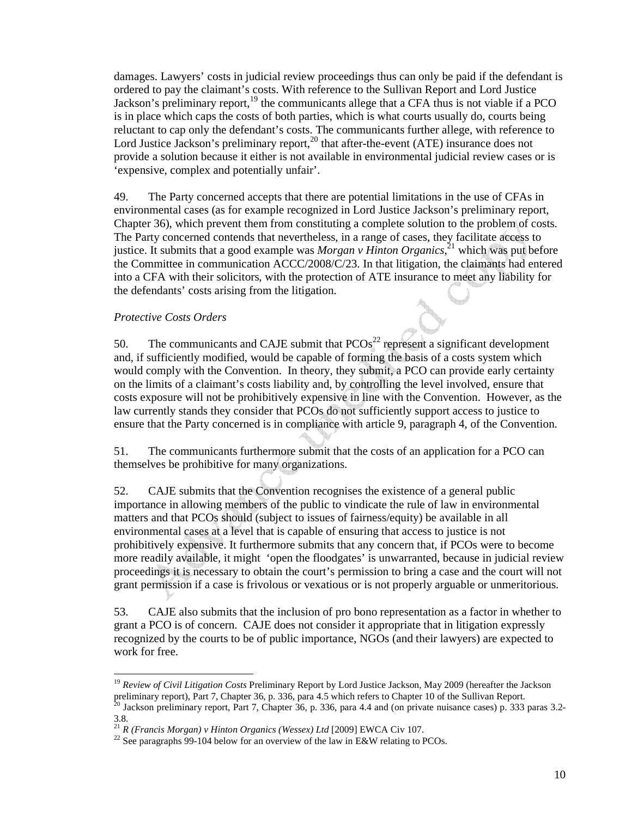damages. Lawyers' costs in judicial review proceedings thus can only be paid if the defendant is ordered to pay the claimant's costs. With reference to the Sullivan Report and Lord Justice Jackson's preliminary report,  $19$  the communicants allege that a CFA thus is not viable if a PCO is in place which caps the costs of both parties, which is what courts usually do, courts being reluctant to cap only the defendant's costs. The communicants further allege, with reference to Lord Justice Jackson's preliminary report,<sup>20</sup> that after-the-event (ATE) insurance does not provide a solution because it either is not available in environmental judicial review cases or is 'expensive, complex and potentially unfair'.

49. The Party concerned accepts that there are potential limitations in the use of CFAs in environmental cases (as for example recognized in Lord Justice Jackson's preliminary report, Chapter 36), which prevent them from constituting a complete solution to the problem of costs. The Party concerned contends that nevertheless, in a range of cases, they facilitate access to justice. It submits that a good example was *Morgan v Hinton Organics*, <sup>21</sup> which was put before the Committee in communication ACCC/2008/C/23. In that litigation, the claimants had entered into a CFA with their solicitors, with the protection of ATE insurance to meet any liability for the defendants' costs arising from the litigation.

### *Protective Costs Orders*

50. The communicants and CAJE submit that  $PCOs<sup>22</sup>$  represent a significant development and, if sufficiently modified, would be capable of forming the basis of a costs system which would comply with the Convention. In theory, they submit, a PCO can provide early certainty on the limits of a claimant's costs liability and, by controlling the level involved, ensure that costs exposure will not be prohibitively expensive in line with the Convention. However, as the law currently stands they consider that PCOs do not sufficiently support access to justice to ensure that the Party concerned is in compliance with article 9, paragraph 4, of the Convention.

51. The communicants furthermore submit that the costs of an application for a PCO can themselves be prohibitive for many organizations.

52. CAJE submits that the Convention recognises the existence of a general public importance in allowing members of the public to vindicate the rule of law in environmental matters and that PCOs should (subject to issues of fairness/equity) be available in all environmental cases at a level that is capable of ensuring that access to justice is not prohibitively expensive. It furthermore submits that any concern that, if PCOs were to become more readily available, it might 'open the floodgates' is unwarranted, because in judicial review proceedings it is necessary to obtain the court's permission to bring a case and the court will not grant permission if a case is frivolous or vexatious or is not properly arguable or unmeritorious.

53. CAJE also submits that the inclusion of pro bono representation as a factor in whether to grant a PCO is of concern. CAJE does not consider it appropriate that in litigation expressly recognized by the courts to be of public importance, NGOs (and their lawyers) are expected to work for free.

 $\ddot{\phantom{a}}$ <sup>19</sup> *Review of Civil Litigation Costs* Preliminary Report by Lord Justice Jackson, May 2009 (hereafter the Jackson preliminary report), Part 7, Chapter 36, p. 336, para 4.5 which refers to Chapter 10 of the Sullivan Report.

 $^{20}$  Jackson preliminary report, Part 7, Chapter 36, p. 336, para 4.4 and (on private nuisance cases) p. 333 paras 3.2-3.8.

<sup>21</sup> *R (Francis Morgan) v Hinton Organics (Wessex) Ltd* [2009] EWCA Civ 107.

<sup>&</sup>lt;sup>22</sup> See paragraphs 99-104 below for an overview of the law in E&W relating to PCOs.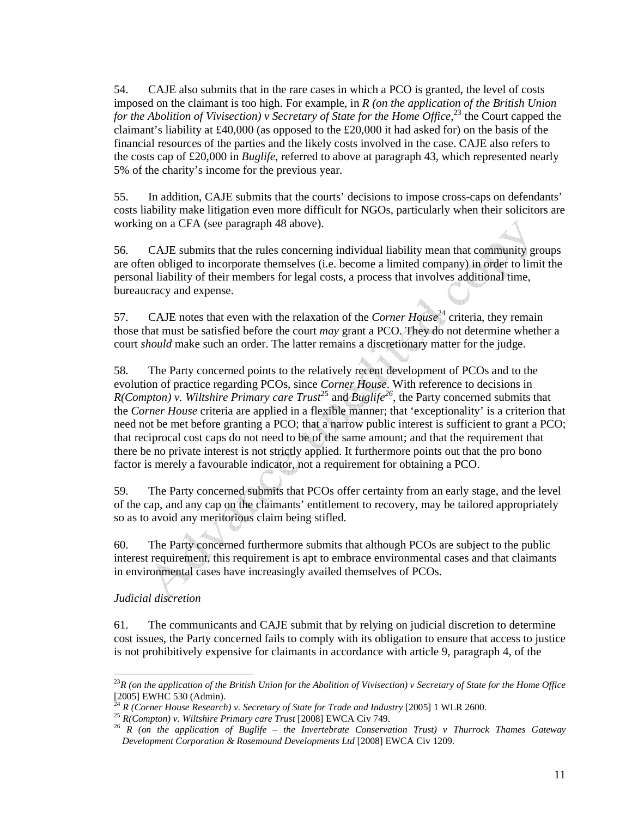54. CAJE also submits that in the rare cases in which a PCO is granted, the level of costs imposed on the claimant is too high. For example, in *R (on the application of the British Union*  for the Abolition of Vivisection) v Secretary of State for the Home Office,<sup>23</sup> the Court capped the claimant's liability at  $\text{\pounds}40,000$  (as opposed to the  $\text{\pounds}20,000$  it had asked for) on the basis of the financial resources of the parties and the likely costs involved in the case. CAJE also refers to the costs cap of £20,000 in *Buglife*, referred to above at paragraph 43, which represented nearly 5% of the charity's income for the previous year.

55. In addition, CAJE submits that the courts' decisions to impose cross-caps on defendants' costs liability make litigation even more difficult for NGOs, particularly when their solicitors are working on a CFA (see paragraph 48 above).

56. CAJE submits that the rules concerning individual liability mean that community groups are often obliged to incorporate themselves (i.e. become a limited company) in order to limit the personal liability of their members for legal costs, a process that involves additional time, bureaucracy and expense.

57. CAJE notes that even with the relaxation of the *Corner House*<sup>24</sup> criteria, they remain those that must be satisfied before the court *may* grant a PCO. They do not determine whether a court *should* make such an order. The latter remains a discretionary matter for the judge.

58. The Party concerned points to the relatively recent development of PCOs and to the evolution of practice regarding PCOs, since *Corner House*. With reference to decisions in  $R(Compton)$  v. Wiltshire Primary care Trust<sup>25</sup> and *Buglife*<sup>26</sup>, the Party concerned submits that the *Corner House* criteria are applied in a flexible manner; that 'exceptionality' is a criterion that need not be met before granting a PCO; that a narrow public interest is sufficient to grant a PCO; that reciprocal cost caps do not need to be of the same amount; and that the requirement that there be no private interest is not strictly applied. It furthermore points out that the pro bono factor is merely a favourable indicator, not a requirement for obtaining a PCO.

59. The Party concerned submits that PCOs offer certainty from an early stage, and the level of the cap, and any cap on the claimants' entitlement to recovery, may be tailored appropriately so as to avoid any meritorious claim being stifled.

60. The Party concerned furthermore submits that although PCOs are subject to the public interest requirement, this requirement is apt to embrace environmental cases and that claimants in environmental cases have increasingly availed themselves of PCOs.

# *Judicial discretion*

 $\ddot{\phantom{a}}$ 

61. The communicants and CAJE submit that by relying on judicial discretion to determine cost issues, the Party concerned fails to comply with its obligation to ensure that access to justice is not prohibitively expensive for claimants in accordance with article 9, paragraph 4, of the

<sup>23</sup>*R (on the application of the British Union for the Abolition of Vivisection) v Secretary of State for the Home Office* [2005] EWHC 530 (Admin).

<sup>24</sup> *R (Corner House Research) v. Secretary of State for Trade and Industry* [2005] 1 WLR 2600.

<sup>25</sup> *R(Compton) v. Wiltshire Primary care Trust* [2008] EWCA Civ 749.

<sup>26</sup> *R (on the application of Buglife – the Invertebrate Conservation Trust) v Thurrock Thames Gateway Development Corporation & Rosemound Developments Ltd* [2008] EWCA Civ 1209.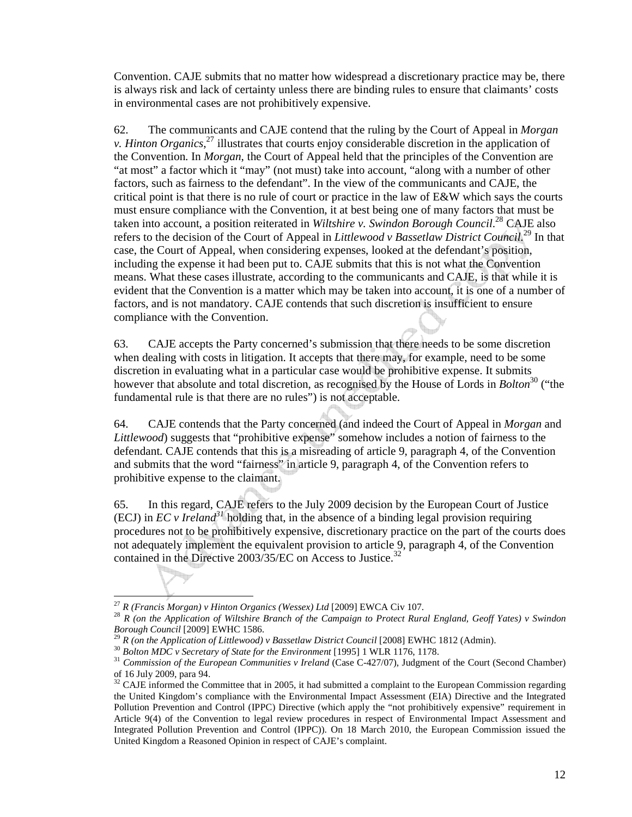Convention. CAJE submits that no matter how widespread a discretionary practice may be, there is always risk and lack of certainty unless there are binding rules to ensure that claimants' costs in environmental cases are not prohibitively expensive.

62. The communicants and CAJE contend that the ruling by the Court of Appeal in *Morgan v. Hinton Organics*, <sup>27</sup> illustrates that courts enjoy considerable discretion in the application of the Convention. In *Morgan*, the Court of Appeal held that the principles of the Convention are "at most" a factor which it "may" (not must) take into account, "along with a number of other factors, such as fairness to the defendant". In the view of the communicants and CAJE, the critical point is that there is no rule of court or practice in the law of E&W which says the courts must ensure compliance with the Convention, it at best being one of many factors that must be taken into account, a position reiterated in *Wiltshire v. Swindon Borough Council*. <sup>28</sup> CAJE also refers to the decision of the Court of Appeal in *Littlewood v Bassetlaw District Council*. <sup>29</sup> In that case, the Court of Appeal, when considering expenses, looked at the defendant's position, including the expense it had been put to. CAJE submits that this is not what the Convention means. What these cases illustrate, according to the communicants and CAJE, is that while it is evident that the Convention is a matter which may be taken into account, it is one of a number of factors, and is not mandatory. CAJE contends that such discretion is insufficient to ensure compliance with the Convention.

63. CAJE accepts the Party concerned's submission that there needs to be some discretion when dealing with costs in litigation. It accepts that there may, for example, need to be some discretion in evaluating what in a particular case would be prohibitive expense. It submits however that absolute and total discretion, as recognised by the House of Lords in *Bolton*<sup>30</sup> ("the fundamental rule is that there are no rules") is not acceptable.

64. CAJE contends that the Party concerned (and indeed the Court of Appeal in *Morgan* and *Littlewood*) suggests that "prohibitive expense" somehow includes a notion of fairness to the defendant. CAJE contends that this is a misreading of article 9, paragraph 4, of the Convention and submits that the word "fairness" in article 9, paragraph 4, of the Convention refers to prohibitive expense to the claimant.

65. In this regard, CAJE refers to the July 2009 decision by the European Court of Justice (ECJ) in *EC v Ireland*<sup>31</sup> holding that, in the absence of a binding legal provision requiring procedures not to be prohibitively expensive, discretionary practice on the part of the courts does not adequately implement the equivalent provision to article 9, paragraph 4, of the Convention contained in the Directive  $2003/35/EC$  on Access to Justice.<sup>32</sup>

 $\overline{a}$ <sup>27</sup> *R (Francis Morgan) v Hinton Organics (Wessex) Ltd* [2009] EWCA Civ 107.

<sup>28</sup> *R (on the Application of Wiltshire Branch of the Campaign to Protect Rural England, Geoff Yates) v Swindon Borough Council* [2009] EWHC 1586.

<sup>29</sup> *R (on the Application of Littlewood) v Bassetlaw District Council* [2008] EWHC 1812 (Admin).

<sup>30</sup> *Bolton MDC v Secretary of State for the Environment* [1995] 1 WLR 1176, 1178.

<sup>31</sup> *Commission of the European Communities v Ireland* (Case C-427/07), Judgment of the Court (Second Chamber) of 16 July 2009, para 94.

<sup>&</sup>lt;sup>32</sup> CAJE informed the Committee that in 2005, it had submitted a complaint to the European Commission regarding the United Kingdom's compliance with the Environmental Impact Assessment (EIA) Directive and the Integrated Pollution Prevention and Control (IPPC) Directive (which apply the "not prohibitively expensive" requirement in Article 9(4) of the Convention to legal review procedures in respect of Environmental Impact Assessment and Integrated Pollution Prevention and Control (IPPC)). On 18 March 2010, the European Commission issued the United Kingdom a Reasoned Opinion in respect of CAJE's complaint.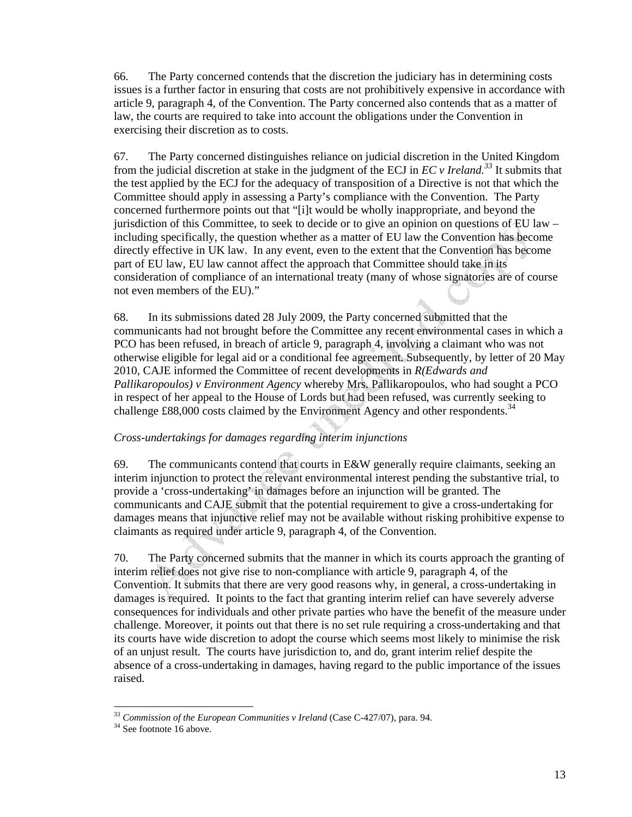66. The Party concerned contends that the discretion the judiciary has in determining costs issues is a further factor in ensuring that costs are not prohibitively expensive in accordance with article 9, paragraph 4, of the Convention. The Party concerned also contends that as a matter of law, the courts are required to take into account the obligations under the Convention in exercising their discretion as to costs.

67. The Party concerned distinguishes reliance on judicial discretion in the United Kingdom from the judicial discretion at stake in the judgment of the ECJ in *EC v Ireland.<sup>33</sup>* It submits that the test applied by the ECJ for the adequacy of transposition of a Directive is not that which the Committee should apply in assessing a Party's compliance with the Convention. The Party concerned furthermore points out that "[i]t would be wholly inappropriate, and beyond the jurisdiction of this Committee, to seek to decide or to give an opinion on questions of EU law – including specifically, the question whether as a matter of EU law the Convention has become directly effective in UK law. In any event, even to the extent that the Convention has become part of EU law, EU law cannot affect the approach that Committee should take in its consideration of compliance of an international treaty (many of whose signatories are of course not even members of the EU)."

68. In its submissions dated 28 July 2009, the Party concerned submitted that the communicants had not brought before the Committee any recent environmental cases in which a PCO has been refused, in breach of article 9, paragraph 4, involving a claimant who was not otherwise eligible for legal aid or a conditional fee agreement. Subsequently, by letter of 20 May 2010, CAJE informed the Committee of recent developments in *R(Edwards and Pallikaropoulos) v Environment Agency* whereby Mrs. Pallikaropoulos, who had sought a PCO in respect of her appeal to the House of Lords but had been refused, was currently seeking to challenge  $\pounds 88,000$  costs claimed by the Environment Agency and other respondents.<sup>34</sup>

# *Cross-undertakings for damages regarding interim injunctions*

69. The communicants contend that courts in E&W generally require claimants, seeking an interim injunction to protect the relevant environmental interest pending the substantive trial, to provide a 'cross-undertaking' in damages before an injunction will be granted. The communicants and CAJE submit that the potential requirement to give a cross-undertaking for damages means that injunctive relief may not be available without risking prohibitive expense to claimants as required under article 9, paragraph 4, of the Convention.

70. The Party concerned submits that the manner in which its courts approach the granting of interim relief does not give rise to non-compliance with article 9, paragraph 4, of the Convention. It submits that there are very good reasons why, in general, a cross-undertaking in damages is required. It points to the fact that granting interim relief can have severely adverse consequences for individuals and other private parties who have the benefit of the measure under challenge. Moreover, it points out that there is no set rule requiring a cross-undertaking and that its courts have wide discretion to adopt the course which seems most likely to minimise the risk of an unjust result. The courts have jurisdiction to, and do, grant interim relief despite the absence of a cross-undertaking in damages, having regard to the public importance of the issues raised.

<sup>33</sup> *Commission of the European Communities v Ireland* (Case C-427/07), para. 94.

<sup>&</sup>lt;sup>34</sup> See footnote 16 above.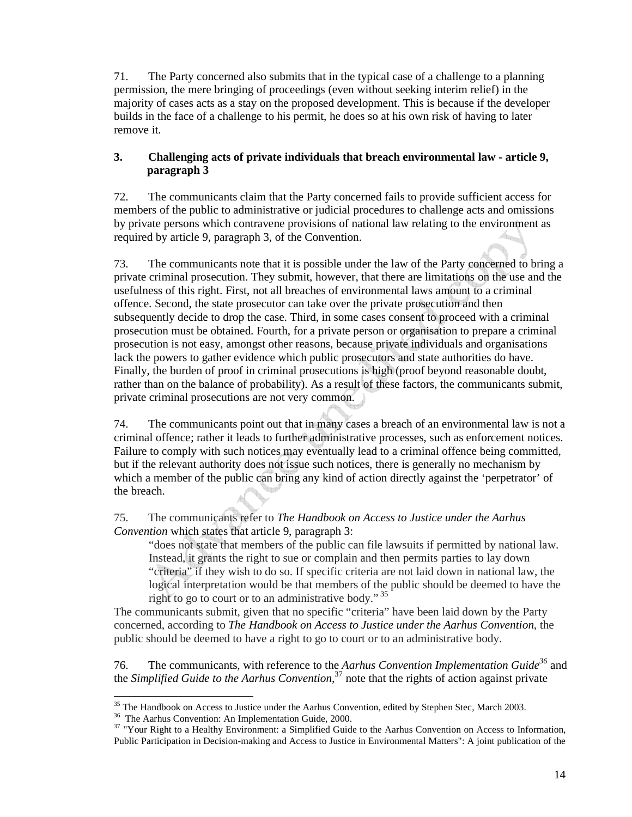71. The Party concerned also submits that in the typical case of a challenge to a planning permission, the mere bringing of proceedings (even without seeking interim relief) in the majority of cases acts as a stay on the proposed development. This is because if the developer builds in the face of a challenge to his permit, he does so at his own risk of having to later remove it.

# **3. Challenging acts of private individuals that breach environmental law - article 9, paragraph 3**

72. The communicants claim that the Party concerned fails to provide sufficient access for members of the public to administrative or judicial procedures to challenge acts and omissions by private persons which contravene provisions of national law relating to the environment as required by article 9, paragraph 3, of the Convention.

73. The communicants note that it is possible under the law of the Party concerned to bring a private criminal prosecution. They submit, however, that there are limitations on the use and the usefulness of this right. First, not all breaches of environmental laws amount to a criminal offence. Second, the state prosecutor can take over the private prosecution and then subsequently decide to drop the case. Third, in some cases consent to proceed with a criminal prosecution must be obtained. Fourth, for a private person or organisation to prepare a criminal prosecution is not easy, amongst other reasons, because private individuals and organisations lack the powers to gather evidence which public prosecutors and state authorities do have. Finally, the burden of proof in criminal prosecutions is high (proof beyond reasonable doubt, rather than on the balance of probability). As a result of these factors, the communicants submit, private criminal prosecutions are not very common.

74. The communicants point out that in many cases a breach of an environmental law is not a criminal offence; rather it leads to further administrative processes, such as enforcement notices. Failure to comply with such notices may eventually lead to a criminal offence being committed, but if the relevant authority does not issue such notices, there is generally no mechanism by which a member of the public can bring any kind of action directly against the 'perpetrator' of the breach.

75. The communicants refer to *The Handbook on Access to Justice under the Aarhus Convention* which states that article 9, paragraph 3:

"does not state that members of the public can file lawsuits if permitted by national law. Instead, it grants the right to sue or complain and then permits parties to lay down "criteria" if they wish to do so. If specific criteria are not laid down in national law, the logical interpretation would be that members of the public should be deemed to have the right to go to court or to an administrative body."<sup>35</sup>

The communicants submit, given that no specific "criteria" have been laid down by the Party concerned, according to *The Handbook on Access to Justice under the Aarhus Convention*, the public should be deemed to have a right to go to court or to an administrative body.

76. The communicants, with reference to the *Aarhus Convention Implementation Guide<sup>36</sup>* and the *Simplified Guide to the Aarhus Convention,*<sup>37</sup> note that the rights of action against private

<sup>&</sup>lt;sup>35</sup> The Handbook on Access to Justice under the Aarhus Convention, edited by Stephen Stec, March 2003.

<sup>36</sup> The Aarhus Convention: An Implementation Guide, 2000.

<sup>&</sup>lt;sup>37</sup> "Your Right to a Healthy Environment: a Simplified Guide to the Aarhus Convention on Access to Information, Public Participation in Decision-making and Access to Justice in Environmental Matters": A joint publication of the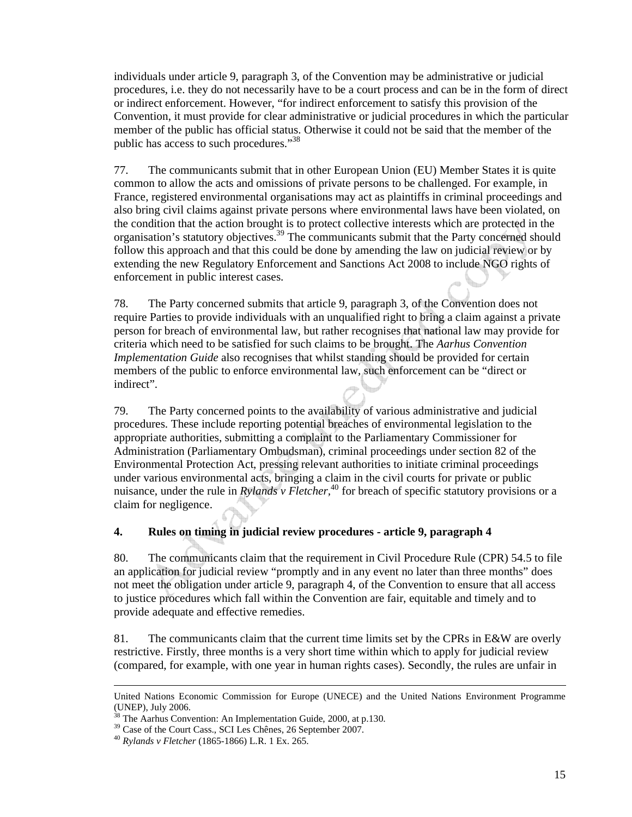individuals under article 9, paragraph 3, of the Convention may be administrative or judicial procedures, i.e. they do not necessarily have to be a court process and can be in the form of direct or indirect enforcement. However, "for indirect enforcement to satisfy this provision of the Convention, it must provide for clear administrative or judicial procedures in which the particular member of the public has official status. Otherwise it could not be said that the member of the public has access to such procedures."<sup>38</sup>

77. The communicants submit that in other European Union (EU) Member States it is quite common to allow the acts and omissions of private persons to be challenged. For example, in France, registered environmental organisations may act as plaintiffs in criminal proceedings and also bring civil claims against private persons where environmental laws have been violated, on the condition that the action brought is to protect collective interests which are protected in the organisation's statutory objectives.<sup>39</sup> The communicants submit that the Party concerned should follow this approach and that this could be done by amending the law on judicial review or by extending the new Regulatory Enforcement and Sanctions Act 2008 to include NGO rights of enforcement in public interest cases.

78. The Party concerned submits that article 9, paragraph 3, of the Convention does not require Parties to provide individuals with an unqualified right to bring a claim against a private person for breach of environmental law, but rather recognises that national law may provide for criteria which need to be satisfied for such claims to be brought. The *Aarhus Convention Implementation Guide* also recognises that whilst standing should be provided for certain members of the public to enforce environmental law, such enforcement can be "direct or indirect".

79. The Party concerned points to the availability of various administrative and judicial procedures. These include reporting potential breaches of environmental legislation to the appropriate authorities, submitting a complaint to the Parliamentary Commissioner for Administration (Parliamentary Ombudsman), criminal proceedings under section 82 of the Environmental Protection Act, pressing relevant authorities to initiate criminal proceedings under various environmental acts, bringing a claim in the civil courts for private or public nuisance, under the rule in *Rylands v Fletcher*,<sup>40</sup> for breach of specific statutory provisions or a claim for negligence.

# **4. Rules on timing in judicial review procedures - article 9, paragraph 4**

80. The communicants claim that the requirement in Civil Procedure Rule (CPR) 54.5 to file an application for judicial review "promptly and in any event no later than three months" does not meet the obligation under article 9, paragraph 4, of the Convention to ensure that all access to justice procedures which fall within the Convention are fair, equitable and timely and to provide adequate and effective remedies.

81. The communicants claim that the current time limits set by the CPRs in E&W are overly restrictive. Firstly, three months is a very short time within which to apply for judicial review (compared, for example, with one year in human rights cases). Secondly, the rules are unfair in

United Nations Economic Commission for Europe (UNECE) and the United Nations Environment Programme  $\frac{1}{38}$  CONEP), July 2006.

The Aarhus Convention: An Implementation Guide, 2000, at p.130.

<sup>39</sup> Case of the Court Cass., SCI Les Chênes, 26 September 2007.

<sup>40</sup> *Rylands v Fletcher* (1865-1866) L.R. 1 Ex. 265.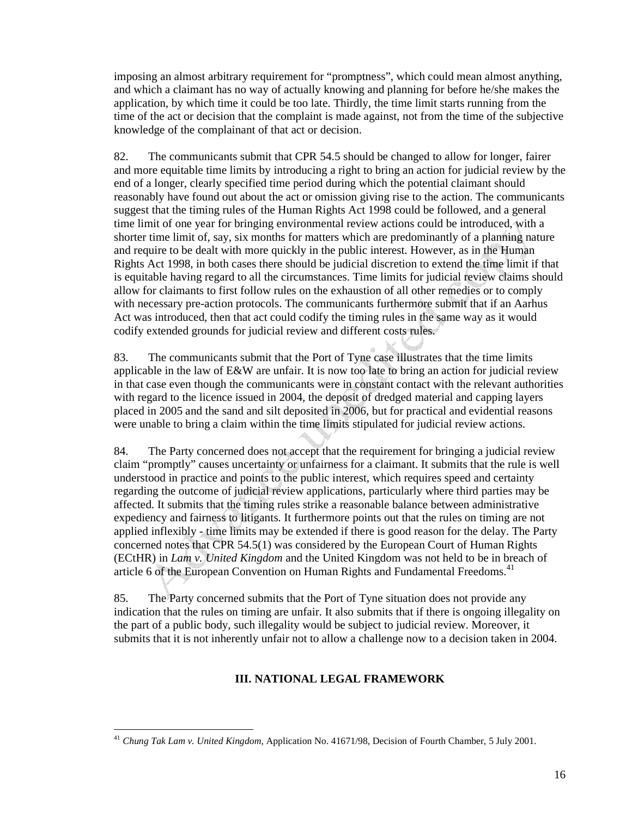imposing an almost arbitrary requirement for "promptness", which could mean almost anything, and which a claimant has no way of actually knowing and planning for before he/she makes the application, by which time it could be too late. Thirdly, the time limit starts running from the time of the act or decision that the complaint is made against, not from the time of the subjective knowledge of the complainant of that act or decision.

82. The communicants submit that CPR 54.5 should be changed to allow for longer, fairer and more equitable time limits by introducing a right to bring an action for judicial review by the end of a longer, clearly specified time period during which the potential claimant should reasonably have found out about the act or omission giving rise to the action. The communicants suggest that the timing rules of the Human Rights Act 1998 could be followed, and a general time limit of one year for bringing environmental review actions could be introduced, with a shorter time limit of, say, six months for matters which are predominantly of a planning nature and require to be dealt with more quickly in the public interest. However, as in the Human Rights Act 1998, in both cases there should be judicial discretion to extend the time limit if that is equitable having regard to all the circumstances. Time limits for judicial review claims should allow for claimants to first follow rules on the exhaustion of all other remedies or to comply with necessary pre-action protocols. The communicants furthermore submit that if an Aarhus Act was introduced, then that act could codify the timing rules in the same way as it would codify extended grounds for judicial review and different costs rules.

83. The communicants submit that the Port of Tyne case illustrates that the time limits applicable in the law of E&W are unfair. It is now too late to bring an action for judicial review in that case even though the communicants were in constant contact with the relevant authorities with regard to the licence issued in 2004, the deposit of dredged material and capping layers placed in 2005 and the sand and silt deposited in 2006, but for practical and evidential reasons were unable to bring a claim within the time limits stipulated for judicial review actions.

84. The Party concerned does not accept that the requirement for bringing a judicial review claim "promptly" causes uncertainty or unfairness for a claimant. It submits that the rule is well understood in practice and points to the public interest, which requires speed and certainty regarding the outcome of judicial review applications, particularly where third parties may be affected. It submits that the timing rules strike a reasonable balance between administrative expediency and fairness to litigants. It furthermore points out that the rules on timing are not applied inflexibly - time limits may be extended if there is good reason for the delay. The Party concerned notes that CPR 54.5(1) was considered by the European Court of Human Rights (ECtHR) in *Lam v. United Kingdom* and the United Kingdom was not held to be in breach of article 6 of the European Convention on Human Rights and Fundamental Freedoms.<sup>41</sup>

85. The Party concerned submits that the Port of Tyne situation does not provide any indication that the rules on timing are unfair. It also submits that if there is ongoing illegality on the part of a public body, such illegality would be subject to judicial review. Moreover, it submits that it is not inherently unfair not to allow a challenge now to a decision taken in 2004.

# **III. NATIONAL LEGAL FRAMEWORK**

 $\overline{a}$ <sup>41</sup> *Chung Tak Lam v. United Kingdom,* Application No. 41671/98, Decision of Fourth Chamber, 5 July 2001.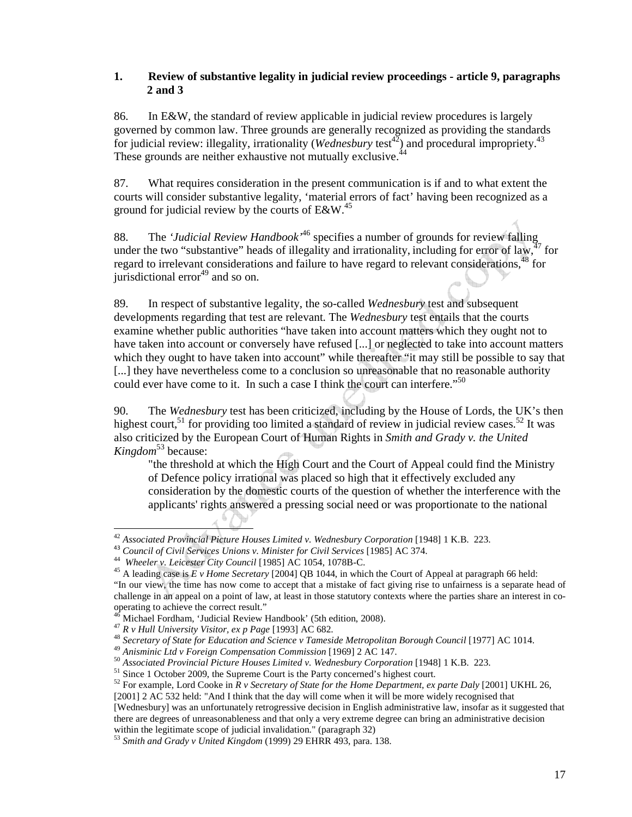### **1. Review of substantive legality in judicial review proceedings - article 9, paragraphs 2 and 3**

86. In E&W, the standard of review applicable in judicial review procedures is largely governed by common law. Three grounds are generally recognized as providing the standards for judicial review: illegality, irrationality (*Wednesbury* test<sup>42</sup>) and procedural impropriety.<sup>43</sup> These grounds are neither exhaustive not mutually exclusive.<sup>44</sup>

87. What requires consideration in the present communication is if and to what extent the courts will consider substantive legality, 'material errors of fact' having been recognized as a ground for judicial review by the courts of  $E\&W.<sup>45</sup>$ 

88. The *'Judicial Review Handbook'*<sup>46</sup> specifies a number of grounds for review falling under the two "substantive" heads of illegality and irrationality, including for error of law, $^{47}$  for regard to irrelevant considerations and failure to have regard to relevant considerations,<sup>48</sup> for jurisdictional error $49$  and so on.

89. In respect of substantive legality, the so-called *Wednesbury* test and subsequent developments regarding that test are relevant. The *Wednesbury* test entails that the courts examine whether public authorities "have taken into account matters which they ought not to have taken into account or conversely have refused [...] or neglected to take into account matters which they ought to have taken into account" while thereafter "it may still be possible to say that [...] they have nevertheless come to a conclusion so unreasonable that no reasonable authority could ever have come to it. In such a case I think the court can interfere."<sup>50</sup>

90. The *Wednesbury* test has been criticized, including by the House of Lords, the UK's then highest court,<sup>51</sup> for providing too limited a standard of review in judicial review cases.<sup>52</sup> It was also criticized by the European Court of Human Rights in *Smith and Grady v. the United Kingdom*<sup>53</sup> because:

"the threshold at which the High Court and the Court of Appeal could find the Ministry of Defence policy irrational was placed so high that it effectively excluded any consideration by the domestic courts of the question of whether the interference with the applicants' rights answered a pressing social need or was proportionate to the national

 $\overline{a}$ <sup>42</sup> *Associated Provincial Picture Houses Limited v. Wednesbury Corporation* [1948] 1 K.B. 223.

<sup>43</sup> *Council of Civil Services Unions v. Minister for Civil Services* [1985] AC 374.

<sup>44</sup> *Wheeler v. Leicester City Council* [1985] AC 1054, 1078B-C.

<sup>45</sup> A leading case is *E v Home Secretary* [2004] QB 1044, in which the Court of Appeal at paragraph 66 held: "In our view, the time has now come to accept that a mistake of fact giving rise to unfairness is a separate head of challenge in an appeal on a point of law, at least in those statutory contexts where the parties share an interest in cooperating to achieve the correct result."

<sup>46</sup> Michael Fordham, 'Judicial Review Handbook' (5th edition, 2008).

<sup>47</sup> *R v Hull University Visitor, ex p Page* [1993] AC 682.

<sup>48</sup> *Secretary of State for Education and Science v Tameside Metropolitan Borough Council* [1977] AC 1014.

<sup>49</sup> *Anisminic Ltd v Foreign Compensation Commission* [1969] 2 AC 147.

<sup>50</sup> *Associated Provincial Picture Houses Limited v. Wednesbury Corporation* [1948] 1 K.B. 223.

<sup>&</sup>lt;sup>51</sup> Since 1 October 2009, the Supreme Court is the Party concerned's highest court.

 $52$  For example, Lord Cooke in  $\hat{R}$  v Secretary of State for the Home Department, ex parte Daly [2001] UKHL 26,

<sup>[2001] 2</sup> AC 532 held: "And I think that the day will come when it will be more widely recognised that

<sup>[</sup>Wednesbury] was an unfortunately retrogressive decision in English administrative law, insofar as it suggested that there are degrees of unreasonableness and that only a very extreme degree can bring an administrative decision within the legitimate scope of judicial invalidation." (paragraph 32)

<sup>53</sup> *Smith and Grady v United Kingdom* (1999) 29 EHRR 493, para. 138.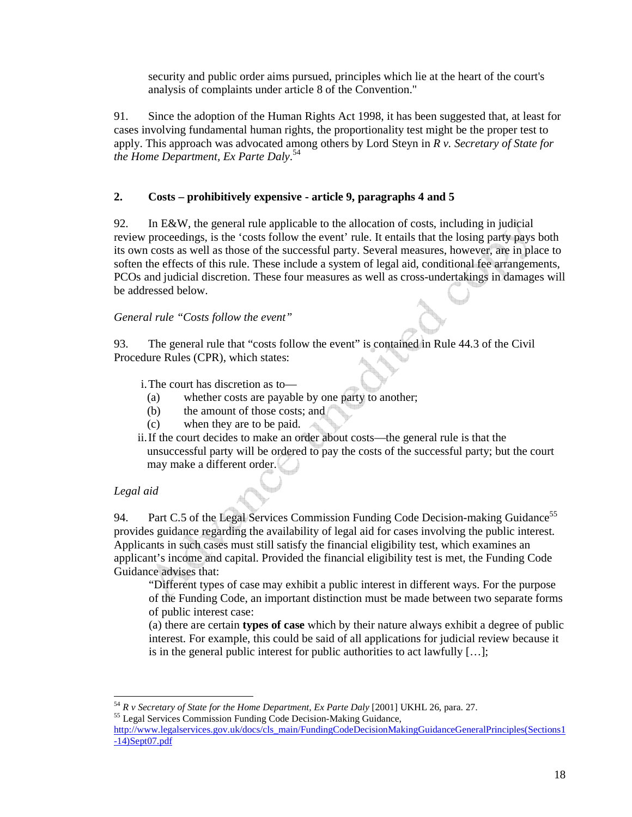security and public order aims pursued, principles which lie at the heart of the court's analysis of complaints under article 8 of the Convention."

91. Since the adoption of the Human Rights Act 1998, it has been suggested that, at least for cases involving fundamental human rights, the proportionality test might be the proper test to apply. This approach was advocated among others by Lord Steyn in *R v. Secretary of State for the Home Department, Ex Parte Daly*. 54

## **2. Costs – prohibitively expensive - article 9, paragraphs 4 and 5**

92. In E&W, the general rule applicable to the allocation of costs, including in judicial review proceedings, is the 'costs follow the event' rule. It entails that the losing party pays both its own costs as well as those of the successful party. Several measures, however, are in place to soften the effects of this rule. These include a system of legal aid, conditional fee arrangements, PCOs and judicial discretion. These four measures as well as cross-undertakings in damages will be addressed below.

#### *General rule "Costs follow the event"*

93. The general rule that "costs follow the event" is contained in Rule 44.3 of the Civil Procedure Rules (CPR), which states:

i.The court has discretion as to—

- (a) whether costs are payable by one party to another;
- (b) the amount of those costs; and
- (c) when they are to be paid.
- ii.If the court decides to make an order about costs—the general rule is that the unsuccessful party will be ordered to pay the costs of the successful party; but the court may make a different order.

# *Legal aid*

 $\overline{a}$ 

94. Part C.5 of the Legal Services Commission Funding Code Decision-making Guidance<sup>55</sup> provides guidance regarding the availability of legal aid for cases involving the public interest. Applicants in such cases must still satisfy the financial eligibility test, which examines an applicant's income and capital. Provided the financial eligibility test is met, the Funding Code Guidance advises that:

"Different types of case may exhibit a public interest in different ways. For the purpose of the Funding Code, an important distinction must be made between two separate forms of public interest case:

(a) there are certain **types of case** which by their nature always exhibit a degree of public interest. For example, this could be said of all applications for judicial review because it is in the general public interest for public authorities to act lawfully […];

<sup>54</sup> *R v Secretary of State for the Home Department, Ex Parte Daly* [2001] UKHL 26, para. 27.

<sup>55</sup> Legal Services Commission Funding Code Decision-Making Guidance,

http://www.legalservices.gov.uk/docs/cls\_main/FundingCodeDecisionMakingGuidanceGeneralPrinciples(Sections1 -14)Sept07.pdf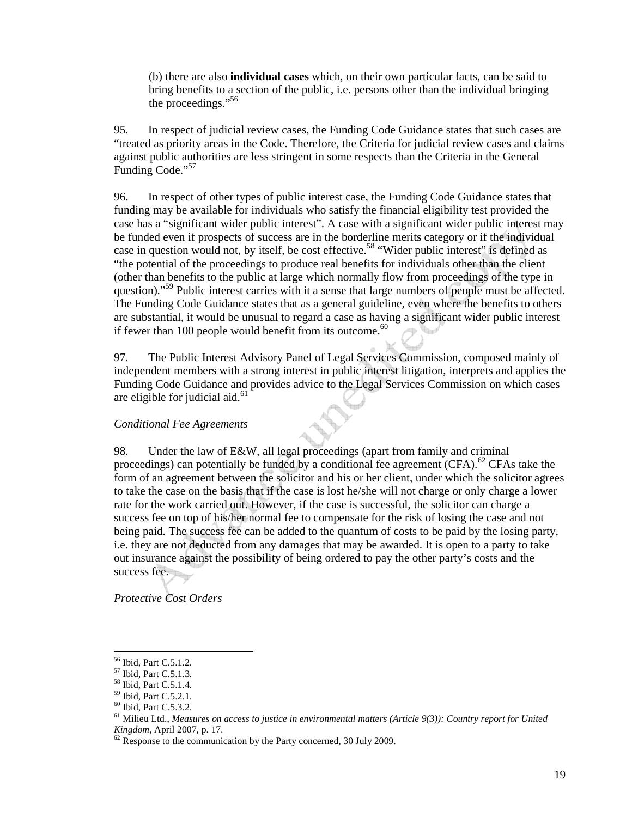(b) there are also **individual cases** which, on their own particular facts, can be said to bring benefits to a section of the public, i.e. persons other than the individual bringing the proceedings."<sup>56</sup>

95. In respect of judicial review cases, the Funding Code Guidance states that such cases are "treated as priority areas in the Code. Therefore, the Criteria for judicial review cases and claims against public authorities are less stringent in some respects than the Criteria in the General Funding Code."<sup>57</sup>

96. In respect of other types of public interest case, the Funding Code Guidance states that funding may be available for individuals who satisfy the financial eligibility test provided the case has a "significant wider public interest". A case with a significant wider public interest may be funded even if prospects of success are in the borderline merits category or if the individual case in question would not, by itself, be cost effective.<sup>58</sup> "Wider public interest" is defined as "the potential of the proceedings to produce real benefits for individuals other than the client (other than benefits to the public at large which normally flow from proceedings of the type in question)."<sup>59</sup> Public interest carries with it a sense that large numbers of people must be affected. The Funding Code Guidance states that as a general guideline, even where the benefits to others are substantial, it would be unusual to regard a case as having a significant wider public interest if fewer than 100 people would benefit from its outcome.<sup>60</sup>

97. The Public Interest Advisory Panel of Legal Services Commission, composed mainly of independent members with a strong interest in public interest litigation, interprets and applies the Funding Code Guidance and provides advice to the Legal Services Commission on which cases are eligible for judicial aid. $61$ 

#### *Conditional Fee Agreements*

98. Under the law of E&W, all legal proceedings (apart from family and criminal proceedings) can potentially be funded by a conditional fee agreement  $(CFA)$ .<sup>62</sup> CFAs take the form of an agreement between the solicitor and his or her client, under which the solicitor agrees to take the case on the basis that if the case is lost he/she will not charge or only charge a lower rate for the work carried out. However, if the case is successful, the solicitor can charge a success fee on top of his/her normal fee to compensate for the risk of losing the case and not being paid. The success fee can be added to the quantum of costs to be paid by the losing party, i.e. they are not deducted from any damages that may be awarded. It is open to a party to take out insurance against the possibility of being ordered to pay the other party's costs and the success fee.

*Protective Cost Orders* 

 $\overline{a}$ <sup>56</sup> Ibid, Part C.5.1.2.

<sup>57</sup> Ibid, Part C.5.1.3.

<sup>58</sup> Ibid, Part C.5.1.4.

<sup>59</sup> Ibid, Part C.5.2.1.

<sup>60</sup> Ibid, Part C.5.3.2.

<sup>61</sup> Milieu Ltd., *Measures on access to justice in environmental matters (Article 9(3)): Country report for United Kingdom*, April 2007, p. 17.

 $62$  Response to the communication by the Party concerned, 30 July 2009.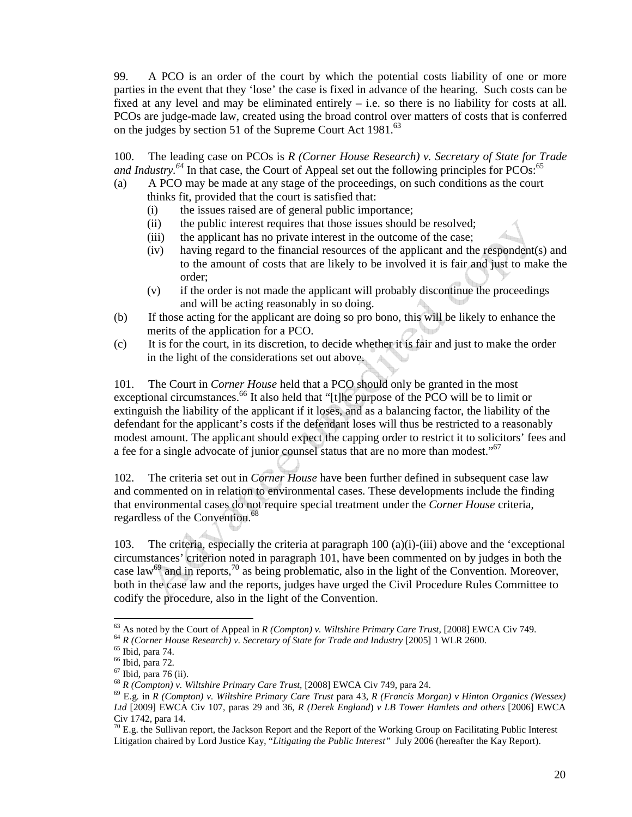99. A PCO is an order of the court by which the potential costs liability of one or more parties in the event that they 'lose' the case is fixed in advance of the hearing. Such costs can be fixed at any level and may be eliminated entirely  $-$  i.e. so there is no liability for costs at all. PCOs are judge-made law, created using the broad control over matters of costs that is conferred on the judges by section 51 of the Supreme Court Act 1981.<sup>63</sup>

100. The leading case on PCOs is *R (Corner House Research) v. Secretary of State for Trade*  and Industry.<sup>64</sup> In that case, the Court of Appeal set out the following principles for PCOs:<sup>65</sup>

- (a) A PCO may be made at any stage of the proceedings, on such conditions as the court thinks fit, provided that the court is satisfied that:
	- (i) the issues raised are of general public importance;
	- (ii) the public interest requires that those issues should be resolved;
	- (iii) the applicant has no private interest in the outcome of the case;
	- (iv) having regard to the financial resources of the applicant and the respondent(s) and to the amount of costs that are likely to be involved it is fair and just to make the order;
	- (v) if the order is not made the applicant will probably discontinue the proceedings and will be acting reasonably in so doing.
- (b) If those acting for the applicant are doing so pro bono, this will be likely to enhance the merits of the application for a PCO.
- (c) It is for the court, in its discretion, to decide whether it is fair and just to make the order in the light of the considerations set out above.

101. The Court in *Corner House* held that a PCO should only be granted in the most exceptional circumstances.<sup>66</sup> It also held that "[t]he purpose of the PCO will be to limit or extinguish the liability of the applicant if it loses, and as a balancing factor, the liability of the defendant for the applicant's costs if the defendant loses will thus be restricted to a reasonably modest amount. The applicant should expect the capping order to restrict it to solicitors' fees and a fee for a single advocate of junior counsel status that are no more than modest."<sup>67</sup>

102. The criteria set out in *Corner House* have been further defined in subsequent case law and commented on in relation to environmental cases. These developments include the finding that environmental cases do not require special treatment under the *Corner House* criteria, regardless of the Convention.<sup>68</sup>

103. The criteria, especially the criteria at paragraph 100 (a)(i)-(iii) above and the 'exceptional circumstances' criterion noted in paragraph 101, have been commented on by judges in both the case law<sup>69</sup> and in reports,<sup>70</sup> as being problematic, also in the light of the Convention. Moreover, both in the case law and the reports, judges have urged the Civil Procedure Rules Committee to codify the procedure, also in the light of the Convention.

 $\ddot{\phantom{a}}$ <sup>63</sup> As noted by the Court of Appeal in *R (Compton) v. Wiltshire Primary Care Trust,* [2008] EWCA Civ 749.

<sup>64</sup> *R (Corner House Research) v. Secretary of State for Trade and Industry* [2005] 1 WLR 2600.

<sup>65</sup> Ibid, para 74.

<sup>66</sup> Ibid, para 72.

<sup>67</sup> Ibid, para 76 (ii).

<sup>68</sup> *R (Compton) v. Wiltshire Primary Care Trust,* [2008] EWCA Civ 749, para 24.

<sup>69</sup> E.g. in *R (Compton) v. Wiltshire Primary Care Trust* para 43, *R (Francis Morgan) v Hinton Organics (Wessex) Ltd* [2009] EWCA Civ 107, paras 29 and 36, *R (Derek England*) *v LB Tower Hamlets and others* [2006] EWCA Civ 1742, para 14.

 $70$  E.g. the Sullivan report, the Jackson Report and the Report of the Working Group on Facilitating Public Interest Litigation chaired by Lord Justice Kay, "*Litigating the Public Interest"* July 2006 (hereafter the Kay Report).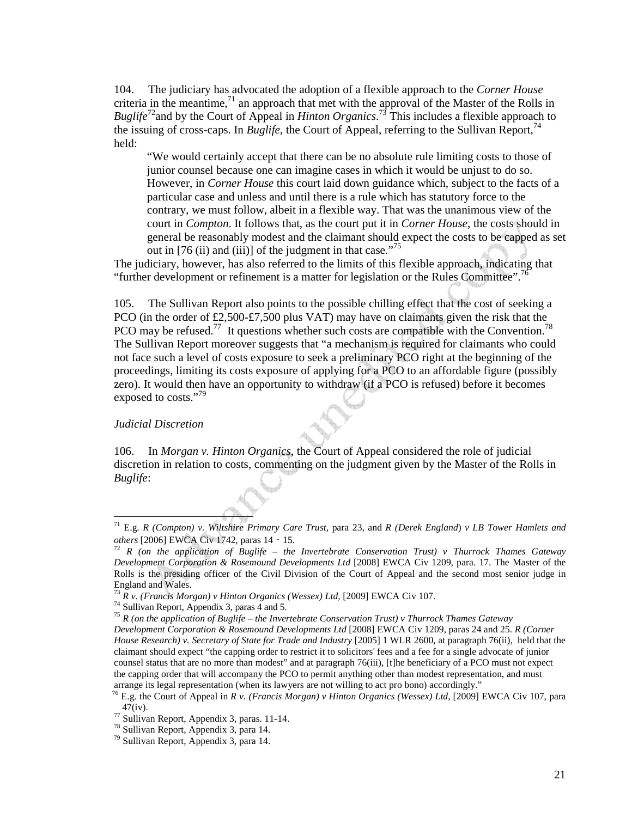104. The judiciary has advocated the adoption of a flexible approach to the *Corner House*  criteria in the meantime, $^{71}$  an approach that met with the approval of the Master of the Rolls in *Buglife*<sup>72</sup>and by the Court of Appeal in *Hinton Organics*. <sup>73</sup> This includes a flexible approach to the issuing of cross-caps. In *Buglife*, the Court of Appeal, referring to the Sullivan Report.<sup>74</sup> held:

"We would certainly accept that there can be no absolute rule limiting costs to those of junior counsel because one can imagine cases in which it would be unjust to do so. However, in *Corner House* this court laid down guidance which, subject to the facts of a particular case and unless and until there is a rule which has statutory force to the contrary, we must follow, albeit in a flexible way. That was the unanimous view of the court in *Compton*. It follows that, as the court put it in *Corner House*, the costs should in general be reasonably modest and the claimant should expect the costs to be capped as set out in [76 (ii) and (iii)] of the judgment in that case."<sup>75</sup>

The judiciary, however, has also referred to the limits of this flexible approach, indicating that "further development or refinement is a matter for legislation or the Rules Committee".<sup>76</sup>

105. The Sullivan Report also points to the possible chilling effect that the cost of seeking a PCO (in the order of £2,500-£7,500 plus VAT) may have on claimants given the risk that the PCO may be refused.<sup>77</sup> It questions whether such costs are compatible with the Convention.<sup>78</sup> The Sullivan Report moreover suggests that "a mechanism is required for claimants who could not face such a level of costs exposure to seek a preliminary PCO right at the beginning of the proceedings, limiting its costs exposure of applying for a PCO to an affordable figure (possibly zero). It would then have an opportunity to withdraw (if a PCO is refused) before it becomes exposed to costs."<sup>79</sup>

#### *Judicial Discretion*

 $\overline{a}$ 

106. In *Morgan v. Hinton Organics*, the Court of Appeal considered the role of judicial discretion in relation to costs, commenting on the judgment given by the Master of the Rolls in *Buglife*:

<sup>71</sup> E.g. *R (Compton) v. Wiltshire Primary Care Trust,* para 23, and *R (Derek England*) *v LB Tower Hamlets and others* [2006] EWCA Civ 1742, paras 14‐15*.*

 $72$  *R* (on the application of Buglife – the Invertebrate Conservation Trust) v Thurrock Thames Gateway *Development Corporation & Rosemound Developments Ltd* [2008] EWCA Civ 1209, para. 17. The Master of the Rolls is the presiding officer of the Civil Division of the Court of Appeal and the second most senior judge in England and Wales.

<sup>73</sup> *R v. (Francis Morgan) v Hinton Organics (Wessex) Ltd*, [2009] EWCA Civ 107.

<sup>&</sup>lt;sup>74</sup> Sullivan Report, Appendix 3, paras 4 and 5.

<sup>75</sup> *R (on the application of Buglife – the Invertebrate Conservation Trust) v Thurrock Thames Gateway* 

*Development Corporation & Rosemound Developments Ltd* [2008] EWCA Civ 1209, paras 24 and 25. *R (Corner House Research) v. Secretary of State for Trade and Industry* [2005] 1 WLR 2600, at paragraph 76(ii), held that the claimant should expect "the capping order to restrict it to solicitors' fees and a fee for a single advocate of junior counsel status that are no more than modest" and at paragraph 76(iii), [t]he beneficiary of a PCO must not expect the capping order that will accompany the PCO to permit anything other than modest representation, and must arrange its legal representation (when its lawyers are not willing to act pro bono) accordingly."

<sup>76</sup> E.g. the Court of Appeal in *R v. (Francis Morgan) v Hinton Organics (Wessex) Ltd*, [2009] EWCA Civ 107, para 47(iv).

 $77$  Sullivan Report, Appendix 3, paras. 11-14.

<sup>78</sup> Sullivan Report, Appendix 3, para 14.

<sup>79</sup> Sullivan Report, Appendix 3, para 14.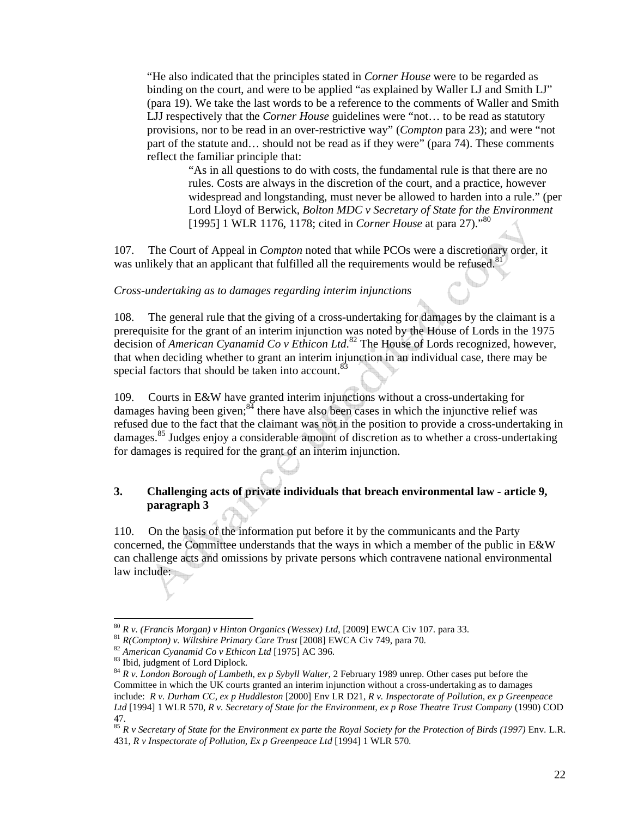"He also indicated that the principles stated in *Corner House* were to be regarded as binding on the court, and were to be applied "as explained by Waller LJ and Smith LJ" (para 19). We take the last words to be a reference to the comments of Waller and Smith LJJ respectively that the *Corner House* guidelines were "not… to be read as statutory provisions, nor to be read in an over-restrictive way" (*Compton* para 23); and were "not part of the statute and… should not be read as if they were" (para 74). These comments reflect the familiar principle that:

"As in all questions to do with costs, the fundamental rule is that there are no rules. Costs are always in the discretion of the court, and a practice, however widespread and longstanding, must never be allowed to harden into a rule." (per Lord Lloyd of Berwick, *Bolton MDC v Secretary of State for the Environment* [1995] 1 WLR 1176, 1178; cited in *Corner House* at para 27)."<sup>80</sup>

107. The Court of Appeal in *Compton* noted that while PCOs were a discretionary order, it was unlikely that an applicant that fulfilled all the requirements would be refused. $81$ 

### *Cross-undertaking as to damages regarding interim injunctions*

108. The general rule that the giving of a cross-undertaking for damages by the claimant is a prerequisite for the grant of an interim injunction was noted by the House of Lords in the 1975 decision of *American Cyanamid Co v Ethicon Ltd*. <sup>82</sup> The House of Lords recognized, however, that when deciding whether to grant an interim injunction in an individual case, there may be special factors that should be taken into account.<sup>83</sup>

109. Courts in E&W have granted interim injunctions without a cross-undertaking for damages having been given; $^{84}$  there have also been cases in which the injunctive relief was refused due to the fact that the claimant was not in the position to provide a cross-undertaking in damages.<sup>85</sup> Judges enjoy a considerable amount of discretion as to whether a cross-undertaking for damages is required for the grant of an interim injunction.

# **3. Challenging acts of private individuals that breach environmental law - article 9, paragraph 3**

110. On the basis of the information put before it by the communicants and the Party concerned, the Committee understands that the ways in which a member of the public in E&W can challenge acts and omissions by private persons which contravene national environmental law include:

 $\ddot{\phantom{a}}$ <sup>80</sup> *R v. (Francis Morgan) v Hinton Organics (Wessex) Ltd*, [2009] EWCA Civ 107. para 33.

<sup>81</sup> *R(Compton) v. Wiltshire Primary Care Trust* [2008] EWCA Civ 749, para 70.

<sup>82</sup> *American Cyanamid Co v Ethicon Ltd* [1975] AC 396.

<sup>83</sup> Ibid, judgment of Lord Diplock.

<sup>84</sup> *R v. London Borough of Lambeth, ex p Sybyll Walter,* 2 February 1989 unrep. Other cases put before the Committee in which the UK courts granted an interim injunction without a cross-undertaking as to damages include: *R v. Durham CC, ex p Huddleston* [2000] Env LR D21, *R v. Inspectorate of Pollution, ex p Greenpeace Ltd* [1994] 1 WLR 570, *R v. Secretary of State for the Environment, ex p Rose Theatre Trust Company* (1990) COD 47.

<sup>&</sup>lt;sup>85</sup> *R v Secretary of State for the Environment ex parte the Royal Society for the Protection of Birds (1997) Env. L.R.* 

<sup>431,</sup> *R v Inspectorate of Pollution, Ex p Greenpeace Ltd* [1994] 1 WLR 570.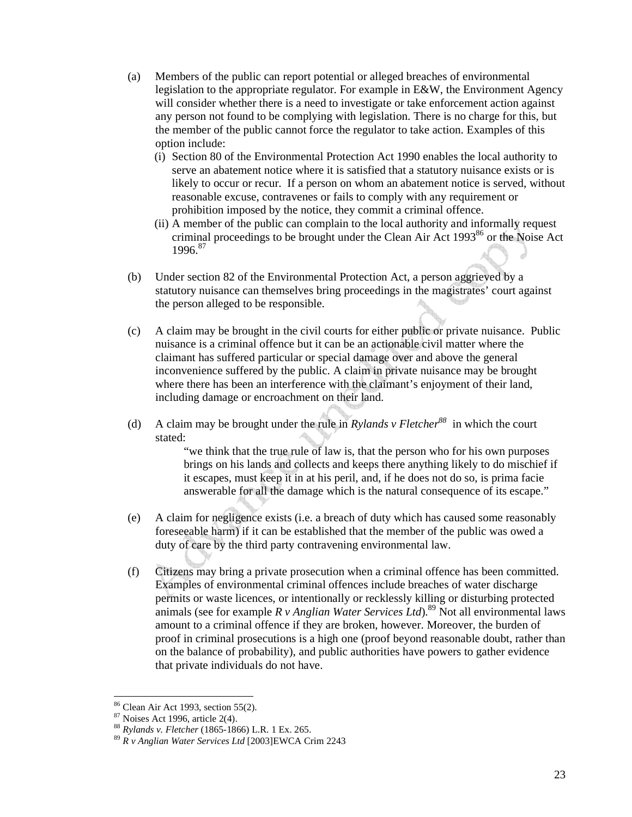- (a) Members of the public can report potential or alleged breaches of environmental legislation to the appropriate regulator. For example in E&W, the Environment Agency will consider whether there is a need to investigate or take enforcement action against any person not found to be complying with legislation. There is no charge for this, but the member of the public cannot force the regulator to take action. Examples of this option include:
	- (i) Section 80 of the Environmental Protection Act 1990 enables the local authority to serve an abatement notice where it is satisfied that a statutory nuisance exists or is likely to occur or recur. If a person on whom an abatement notice is served, without reasonable excuse, contravenes or fails to comply with any requirement or prohibition imposed by the notice, they commit a criminal offence.
	- (ii) A member of the public can complain to the local authority and informally request criminal proceedings to be brought under the Clean Air Act  $1993^{86}$  or the Noise Act 1996.<sup>87</sup>
- (b) Under section 82 of the Environmental Protection Act, a person aggrieved by a statutory nuisance can themselves bring proceedings in the magistrates' court against the person alleged to be responsible.
- (c) A claim may be brought in the civil courts for either public or private nuisance. Public nuisance is a criminal offence but it can be an actionable civil matter where the claimant has suffered particular or special damage over and above the general inconvenience suffered by the public. A claim in private nuisance may be brought where there has been an interference with the claimant's enjoyment of their land, including damage or encroachment on their land.
- (d) A claim may be brought under the rule in *Rylands v Fletcher<sup>88</sup>* in which the court stated:

"we think that the true rule of law is, that the person who for his own purposes brings on his lands and collects and keeps there anything likely to do mischief if it escapes, must keep it in at his peril, and, if he does not do so, is prima facie answerable for all the damage which is the natural consequence of its escape."

- (e) A claim for negligence exists (i.e. a breach of duty which has caused some reasonably foreseeable harm) if it can be established that the member of the public was owed a duty of care by the third party contravening environmental law.
- (f) Citizens may bring a private prosecution when a criminal offence has been committed. Examples of environmental criminal offences include breaches of water discharge permits or waste licences, or intentionally or recklessly killing or disturbing protected animals (see for example  $R v$  Anglian Water Services Ltd).<sup>89</sup> Not all environmental laws amount to a criminal offence if they are broken, however. Moreover, the burden of proof in criminal prosecutions is a high one (proof beyond reasonable doubt, rather than on the balance of probability), and public authorities have powers to gather evidence that private individuals do not have.

<sup>86</sup> Clean Air Act 1993, section 55(2).

 $87$  Noises Act 1996, article 2(4).

<sup>88</sup> *Rylands v. Fletcher* (1865-1866) L.R. 1 Ex. 265.

<sup>89</sup> *R v Anglian Water Services Ltd* [2003]EWCA Crim 2243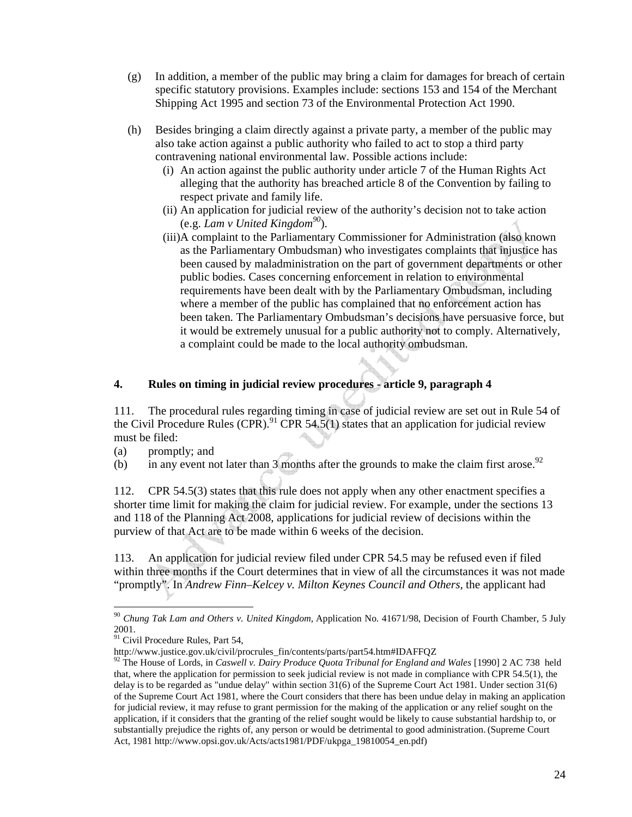- (g) In addition, a member of the public may bring a claim for damages for breach of certain specific statutory provisions. Examples include: sections 153 and 154 of the Merchant Shipping Act 1995 and section 73 of the Environmental Protection Act 1990.
- (h) Besides bringing a claim directly against a private party, a member of the public may also take action against a public authority who failed to act to stop a third party contravening national environmental law. Possible actions include:
	- (i) An action against the public authority under article 7 of the Human Rights Act alleging that the authority has breached article 8 of the Convention by failing to respect private and family life.
	- (ii) An application for judicial review of the authority's decision not to take action (e.g. *Lam v United Kingdom<sup>90</sup>*).
	- (iii)A complaint to the Parliamentary Commissioner for Administration (also known as the Parliamentary Ombudsman) who investigates complaints that injustice has been caused by maladministration on the part of government departments or other public bodies. Cases concerning enforcement in relation to environmental requirements have been dealt with by the Parliamentary Ombudsman, including where a member of the public has complained that no enforcement action has been taken. The Parliamentary Ombudsman's decisions have persuasive force, but it would be extremely unusual for a public authority not to comply. Alternatively, a complaint could be made to the local authority ombudsman.

# **4. Rules on timing in judicial review procedures - article 9, paragraph 4**

111. The procedural rules regarding timing in case of judicial review are set out in Rule 54 of the Civil Procedure Rules (CPR).<sup>91</sup> CPR 54.5(1) states that an application for judicial review must be filed:

(b) in any event not later than  $\frac{3}{5}$  months after the grounds to make the claim first arose.<sup>92</sup>

112. CPR 54.5(3) states that this rule does not apply when any other enactment specifies a shorter time limit for making the claim for judicial review. For example, under the sections 13 and 118 of the Planning Act 2008, applications for judicial review of decisions within the purview of that Act are to be made within 6 weeks of the decision.

113. An application for judicial review filed under CPR 54.5 may be refused even if filed within three months if the Court determines that in view of all the circumstances it was not made "promptly". In *Andrew Finn–Kelcey v. Milton Keynes Council and Others,* the applicant had

<sup>(</sup>a) promptly; and

 $\ddot{\phantom{a}}$ <sup>90</sup> *Chung Tak Lam and Others v. United Kingdom*, Application No. 41671/98, Decision of Fourth Chamber, 5 July 2001.

Civil Procedure Rules, Part 54,

http://www.justice.gov.uk/civil/procrules\_fin/contents/parts/part54.htm#IDAFFQZ

<sup>&</sup>lt;sup>92</sup> The House of Lords, in *Caswell v. Dairy Produce Quota Tribunal for England and Wales* [1990] 2 AC 738 held that, where the application for permission to seek judicial review is not made in compliance with CPR 54.5(1), the delay is to be regarded as "undue delay" within section 31(6) of the Supreme Court Act 1981. Under section 31(6) of the Supreme Court Act 1981, where the Court considers that there has been undue delay in making an application for judicial review, it may refuse to grant permission for the making of the application or any relief sought on the application, if it considers that the granting of the relief sought would be likely to cause substantial hardship to, or substantially prejudice the rights of, any person or would be detrimental to good administration. (Supreme Court Act, 1981 http://www.opsi.gov.uk/Acts/acts1981/PDF/ukpga\_19810054\_en.pdf)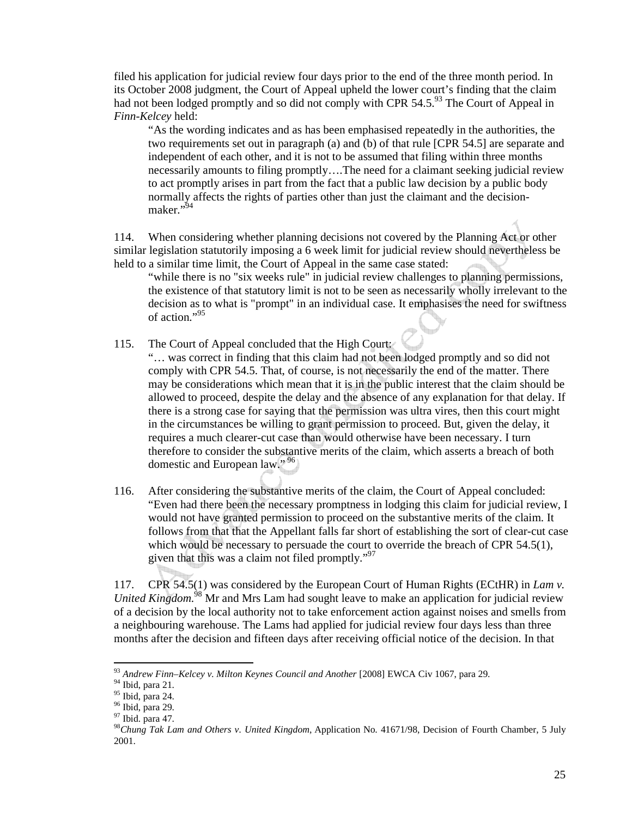filed his application for judicial review four days prior to the end of the three month period. In its October 2008 judgment, the Court of Appeal upheld the lower court's finding that the claim had not been lodged promptly and so did not comply with CPR  $54.5.^{93}$  The Court of Appeal in *Finn-Kelcey* held:

"As the wording indicates and as has been emphasised repeatedly in the authorities, the two requirements set out in paragraph (a) and (b) of that rule [CPR 54.5] are separate and independent of each other, and it is not to be assumed that filing within three months necessarily amounts to filing promptly….The need for a claimant seeking judicial review to act promptly arises in part from the fact that a public law decision by a public body normally affects the rights of parties other than just the claimant and the decisionmaker."<sup>94</sup>

114. When considering whether planning decisions not covered by the Planning Act or other similar legislation statutorily imposing a 6 week limit for judicial review should nevertheless be held to a similar time limit, the Court of Appeal in the same case stated:

"while there is no "six weeks rule" in judicial review challenges to planning permissions, the existence of that statutory limit is not to be seen as necessarily wholly irrelevant to the decision as to what is "prompt" in an individual case. It emphasises the need for swiftness of action."<sup>95</sup>

115. The Court of Appeal concluded that the High Court:

"… was correct in finding that this claim had not been lodged promptly and so did not comply with CPR 54.5. That, of course, is not necessarily the end of the matter. There may be considerations which mean that it is in the public interest that the claim should be allowed to proceed, despite the delay and the absence of any explanation for that delay. If there is a strong case for saying that the permission was ultra vires, then this court might in the circumstances be willing to grant permission to proceed. But, given the delay, it requires a much clearer-cut case than would otherwise have been necessary. I turn therefore to consider the substantive merits of the claim, which asserts a breach of both domestic and European law."<sup>96</sup>

116. After considering the substantive merits of the claim, the Court of Appeal concluded: "Even had there been the necessary promptness in lodging this claim for judicial review, I would not have granted permission to proceed on the substantive merits of the claim. It follows from that that the Appellant falls far short of establishing the sort of clear-cut case which would be necessary to persuade the court to override the breach of CPR 54.5(1), given that this was a claim not filed promptly."<sup>97</sup>

117. CPR 54.5(1) was considered by the European Court of Human Rights (ECtHR) in *Lam v.*  United Kingdom.<sup>98</sup> Mr and Mrs Lam had sought leave to make an application for judicial review of a decision by the local authority not to take enforcement action against noises and smells from a neighbouring warehouse. The Lams had applied for judicial review four days less than three months after the decision and fifteen days after receiving official notice of the decision. In that

 $\ddot{\phantom{a}}$ 

<sup>&</sup>lt;sup>93</sup> Andrew Finn–Kelcey v. Milton Keynes Council and Another [2008] EWCA Civ 1067, para 29.

<sup>94</sup> Ibid, para 21.

<sup>95</sup> Ibid, para 24.

<sup>96</sup> Ibid, para 29.

<sup>97</sup> Ibid. para 47.

<sup>98</sup>*Chung Tak Lam and Others v. United Kingdom*, Application No. 41671/98, Decision of Fourth Chamber, 5 July 2001.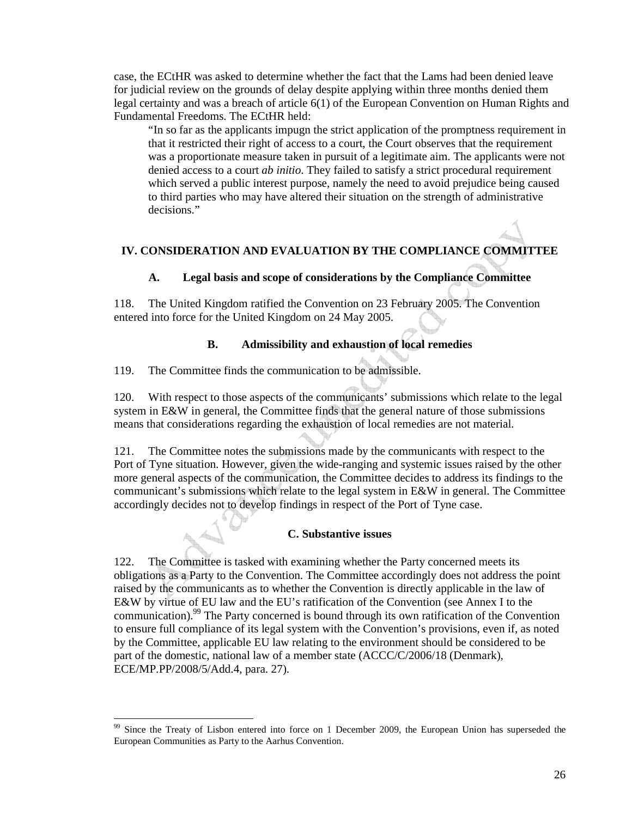case, the ECtHR was asked to determine whether the fact that the Lams had been denied leave for judicial review on the grounds of delay despite applying within three months denied them legal certainty and was a breach of article 6(1) of the European Convention on Human Rights and Fundamental Freedoms. The ECtHR held:

"In so far as the applicants impugn the strict application of the promptness requirement in that it restricted their right of access to a court, the Court observes that the requirement was a proportionate measure taken in pursuit of a legitimate aim. The applicants were not denied access to a court *ab initio*. They failed to satisfy a strict procedural requirement which served a public interest purpose, namely the need to avoid prejudice being caused to third parties who may have altered their situation on the strength of administrative decisions."

# **IV. CONSIDERATION AND EVALUATION BY THE COMPLIANCE COMMITTEE**

# **A. Legal basis and scope of considerations by the Compliance Committee**

118. The United Kingdom ratified the Convention on 23 February 2005. The Convention entered into force for the United Kingdom on 24 May 2005.

# **B. Admissibility and exhaustion of local remedies**

# 119. The Committee finds the communication to be admissible.

120. With respect to those aspects of the communicants' submissions which relate to the legal system in E&W in general, the Committee finds that the general nature of those submissions means that considerations regarding the exhaustion of local remedies are not material.

121. The Committee notes the submissions made by the communicants with respect to the Port of Tyne situation. However, given the wide-ranging and systemic issues raised by the other more general aspects of the communication, the Committee decides to address its findings to the communicant's submissions which relate to the legal system in E&W in general. The Committee accordingly decides not to develop findings in respect of the Port of Tyne case.

# **C. Substantive issues**

122. The Committee is tasked with examining whether the Party concerned meets its obligations as a Party to the Convention. The Committee accordingly does not address the point raised by the communicants as to whether the Convention is directly applicable in the law of E&W by virtue of EU law and the EU's ratification of the Convention (see Annex I to the communication).<sup>99</sup> The Party concerned is bound through its own ratification of the Convention to ensure full compliance of its legal system with the Convention's provisions, even if, as noted by the Committee, applicable EU law relating to the environment should be considered to be part of the domestic, national law of a member state (ACCC/C/2006/18 (Denmark), ECE/MP.PP/2008/5/Add.4, para. 27).

 $\overline{a}$ <sup>99</sup> Since the Treaty of Lisbon entered into force on 1 December 2009, the European Union has superseded the European Communities as Party to the Aarhus Convention.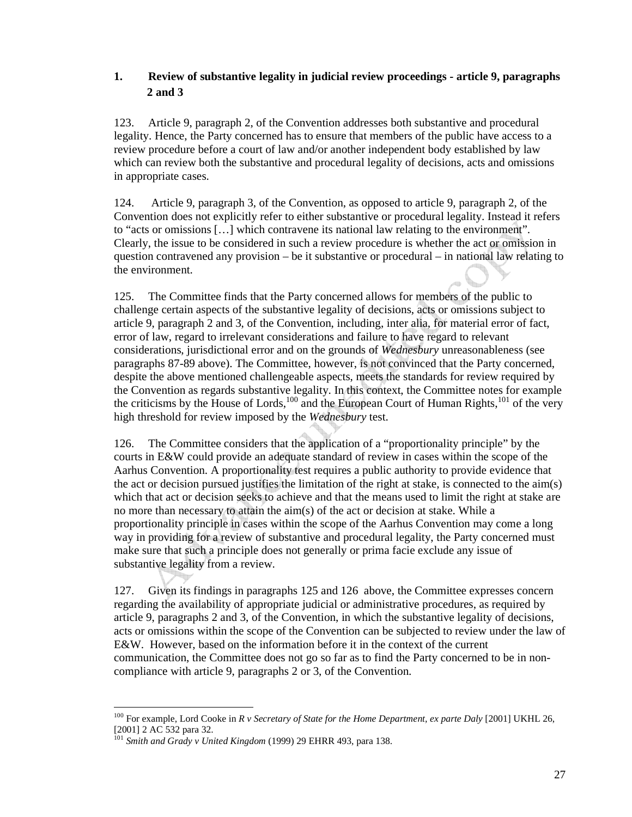# **1. Review of substantive legality in judicial review proceedings - article 9, paragraphs 2 and 3**

123. Article 9, paragraph 2, of the Convention addresses both substantive and procedural legality. Hence, the Party concerned has to ensure that members of the public have access to a review procedure before a court of law and/or another independent body established by law which can review both the substantive and procedural legality of decisions, acts and omissions in appropriate cases.

124. Article 9, paragraph 3, of the Convention, as opposed to article 9, paragraph 2, of the Convention does not explicitly refer to either substantive or procedural legality. Instead it refers to "acts or omissions […] which contravene its national law relating to the environment". Clearly, the issue to be considered in such a review procedure is whether the act or omission in question contravened any provision – be it substantive or procedural – in national law relating to the environment.

125. The Committee finds that the Party concerned allows for members of the public to challenge certain aspects of the substantive legality of decisions, acts or omissions subject to article 9, paragraph 2 and 3, of the Convention, including, inter alia, for material error of fact, error of law, regard to irrelevant considerations and failure to have regard to relevant considerations, jurisdictional error and on the grounds of *Wednesbury* unreasonableness (see paragraphs 87-89 above). The Committee, however, is not convinced that the Party concerned, despite the above mentioned challengeable aspects, meets the standards for review required by the Convention as regards substantive legality. In this context, the Committee notes for example the criticisms by the House of Lords,<sup>100</sup> and the European Court of Human Rights,<sup>101</sup> of the very high threshold for review imposed by the *Wednesbury* test.

126. The Committee considers that the application of a "proportionality principle" by the courts in E&W could provide an adequate standard of review in cases within the scope of the Aarhus Convention. A proportionality test requires a public authority to provide evidence that the act or decision pursued justifies the limitation of the right at stake, is connected to the aim(s) which that act or decision seeks to achieve and that the means used to limit the right at stake are no more than necessary to attain the aim(s) of the act or decision at stake. While a proportionality principle in cases within the scope of the Aarhus Convention may come a long way in providing for a review of substantive and procedural legality, the Party concerned must make sure that such a principle does not generally or prima facie exclude any issue of substantive legality from a review.

127. Given its findings in paragraphs 125 and 126 above, the Committee expresses concern regarding the availability of appropriate judicial or administrative procedures, as required by article 9, paragraphs 2 and 3, of the Convention, in which the substantive legality of decisions, acts or omissions within the scope of the Convention can be subjected to review under the law of E&W. However, based on the information before it in the context of the current communication, the Committee does not go so far as to find the Party concerned to be in noncompliance with article 9, paragraphs 2 or 3, of the Convention.

<sup>&</sup>lt;sup>100</sup> For example, Lord Cooke in *R v Secretary of State for the Home Department, ex parte Daly* [2001] UKHL 26, [2001] 2 AC 532 para 32.

<sup>101</sup> *Smith and Grady v United Kingdom* (1999) 29 EHRR 493, para 138.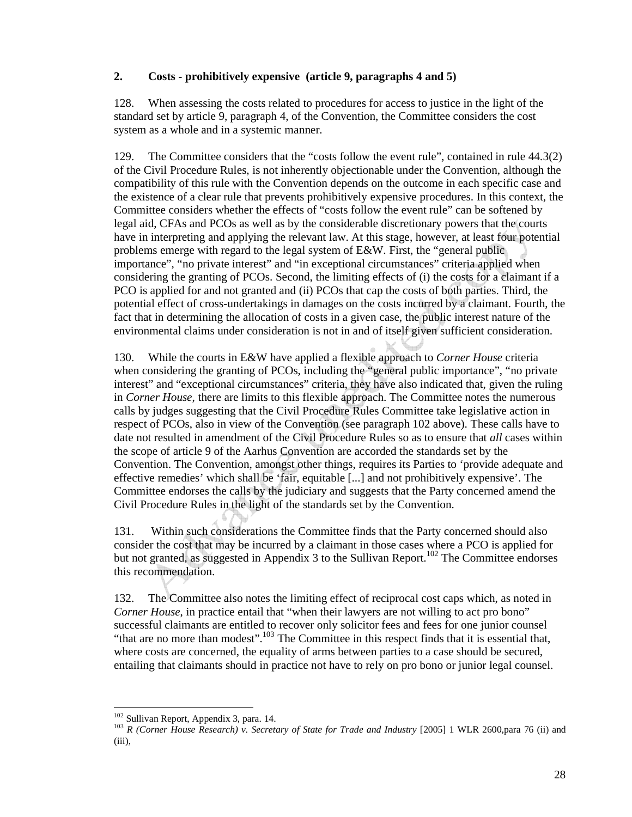# **2. Costs - prohibitively expensive (article 9, paragraphs 4 and 5)**

128. When assessing the costs related to procedures for access to justice in the light of the standard set by article 9, paragraph 4, of the Convention, the Committee considers the cost system as a whole and in a systemic manner.

129. The Committee considers that the "costs follow the event rule", contained in rule 44.3(2) of the Civil Procedure Rules, is not inherently objectionable under the Convention, although the compatibility of this rule with the Convention depends on the outcome in each specific case and the existence of a clear rule that prevents prohibitively expensive procedures. In this context, the Committee considers whether the effects of "costs follow the event rule" can be softened by legal aid, CFAs and PCOs as well as by the considerable discretionary powers that the courts have in interpreting and applying the relevant law. At this stage, however, at least four potential problems emerge with regard to the legal system of E&W. First, the "general public importance", "no private interest" and "in exceptional circumstances" criteria applied when considering the granting of PCOs. Second, the limiting effects of (i) the costs for a claimant if a PCO is applied for and not granted and (ii) PCOs that cap the costs of both parties. Third, the potential effect of cross-undertakings in damages on the costs incurred by a claimant. Fourth, the fact that in determining the allocation of costs in a given case, the public interest nature of the environmental claims under consideration is not in and of itself given sufficient consideration.

130. While the courts in E&W have applied a flexible approach to *Corner House* criteria when considering the granting of PCOs, including the "general public importance", "no private interest" and "exceptional circumstances" criteria, they have also indicated that, given the ruling in *Corner House*, there are limits to this flexible approach. The Committee notes the numerous calls by judges suggesting that the Civil Procedure Rules Committee take legislative action in respect of PCOs, also in view of the Convention (see paragraph 102 above). These calls have to date not resulted in amendment of the Civil Procedure Rules so as to ensure that *all* cases within the scope of article 9 of the Aarhus Convention are accorded the standards set by the Convention. The Convention, amongst other things, requires its Parties to 'provide adequate and effective remedies' which shall be 'fair, equitable [...] and not prohibitively expensive'. The Committee endorses the calls by the judiciary and suggests that the Party concerned amend the Civil Procedure Rules in the light of the standards set by the Convention.

131. Within such considerations the Committee finds that the Party concerned should also consider the cost that may be incurred by a claimant in those cases where a PCO is applied for but not granted, as suggested in Appendix 3 to the Sullivan Report.<sup>102</sup> The Committee endorses this recommendation.

132. The Committee also notes the limiting effect of reciprocal cost caps which, as noted in *Corner House*, in practice entail that "when their lawyers are not willing to act pro bono" successful claimants are entitled to recover only solicitor fees and fees for one junior counsel "that are no more than modest".<sup>103</sup> The Committee in this respect finds that it is essential that, where costs are concerned, the equality of arms between parties to a case should be secured, entailing that claimants should in practice not have to rely on pro bono or junior legal counsel.

<sup>&</sup>lt;sup>102</sup> Sullivan Report, Appendix 3, para. 14.

<sup>103</sup> *R (Corner House Research) v. Secretary of State for Trade and Industry* [2005] 1 WLR 2600,para 76 (ii) and (iii),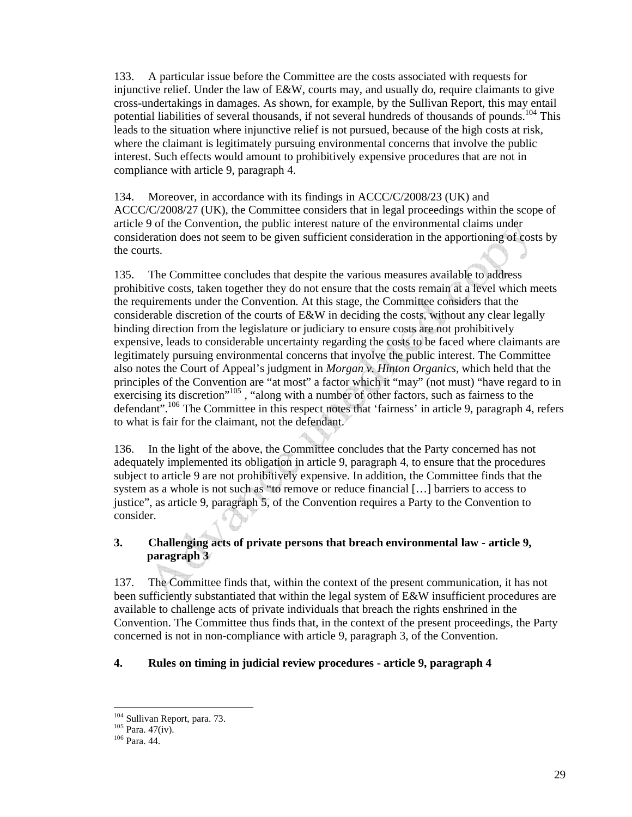133. A particular issue before the Committee are the costs associated with requests for injunctive relief. Under the law of  $E\&W$ , courts may, and usually do, require claimants to give cross-undertakings in damages. As shown, for example, by the Sullivan Report, this may entail potential liabilities of several thousands, if not several hundreds of thousands of pounds.<sup>104</sup> This leads to the situation where injunctive relief is not pursued, because of the high costs at risk, where the claimant is legitimately pursuing environmental concerns that involve the public interest. Such effects would amount to prohibitively expensive procedures that are not in compliance with article 9, paragraph 4.

134. Moreover, in accordance with its findings in ACCC/C/2008/23 (UK) and ACCC/C/2008/27 (UK), the Committee considers that in legal proceedings within the scope of article 9 of the Convention, the public interest nature of the environmental claims under consideration does not seem to be given sufficient consideration in the apportioning of costs by the courts.

135. The Committee concludes that despite the various measures available to address prohibitive costs, taken together they do not ensure that the costs remain at a level which meets the requirements under the Convention. At this stage, the Committee considers that the considerable discretion of the courts of E&W in deciding the costs, without any clear legally binding direction from the legislature or judiciary to ensure costs are not prohibitively expensive, leads to considerable uncertainty regarding the costs to be faced where claimants are legitimately pursuing environmental concerns that involve the public interest. The Committee also notes the Court of Appeal's judgment in *Morgan v. Hinton Organics,* which held that the principles of the Convention are "at most" a factor which it "may" (not must) "have regard to in exercising its discretion"<sup>105</sup>, "along with a number of other factors, such as fairness to the defendant".<sup>106</sup> The Committee in this respect notes that 'fairness' in article 9, paragraph 4, refers to what is fair for the claimant, not the defendant.

136. In the light of the above, the Committee concludes that the Party concerned has not adequately implemented its obligation in article 9, paragraph 4, to ensure that the procedures subject to article 9 are not prohibitively expensive. In addition, the Committee finds that the system as a whole is not such as "to remove or reduce financial […] barriers to access to justice", as article 9, paragraph 5, of the Convention requires a Party to the Convention to consider.

# **3. Challenging acts of private persons that breach environmental law - article 9, paragraph 3**

137. The Committee finds that, within the context of the present communication, it has not been sufficiently substantiated that within the legal system of E&W insufficient procedures are available to challenge acts of private individuals that breach the rights enshrined in the Convention. The Committee thus finds that, in the context of the present proceedings, the Party concerned is not in non-compliance with article 9, paragraph 3, of the Convention.

# **4. Rules on timing in judicial review procedures - article 9, paragraph 4**

<sup>&</sup>lt;sup>104</sup> Sullivan Report, para. 73.

 $105$  Para. 47(iv).

<sup>106</sup> Para. 44.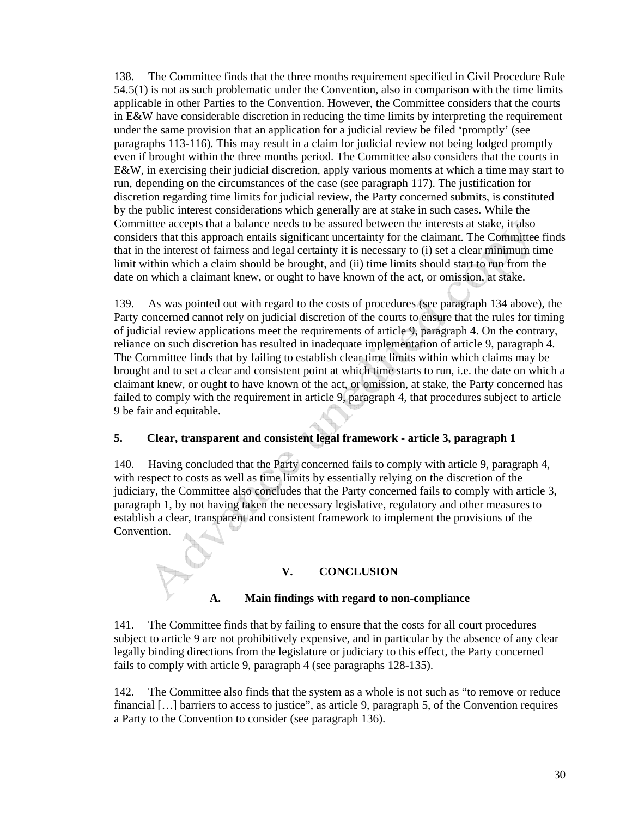138. The Committee finds that the three months requirement specified in Civil Procedure Rule 54.5(1) is not as such problematic under the Convention, also in comparison with the time limits applicable in other Parties to the Convention. However, the Committee considers that the courts in E&W have considerable discretion in reducing the time limits by interpreting the requirement under the same provision that an application for a judicial review be filed 'promptly' (see paragraphs 113-116). This may result in a claim for judicial review not being lodged promptly even if brought within the three months period. The Committee also considers that the courts in E&W, in exercising their judicial discretion, apply various moments at which a time may start to run, depending on the circumstances of the case (see paragraph 117). The justification for discretion regarding time limits for judicial review, the Party concerned submits, is constituted by the public interest considerations which generally are at stake in such cases. While the Committee accepts that a balance needs to be assured between the interests at stake, it also considers that this approach entails significant uncertainty for the claimant. The Committee finds that in the interest of fairness and legal certainty it is necessary to (i) set a clear minimum time limit within which a claim should be brought, and (ii) time limits should start to run from the date on which a claimant knew, or ought to have known of the act, or omission, at stake.

139. As was pointed out with regard to the costs of procedures (see paragraph 134 above), the Party concerned cannot rely on judicial discretion of the courts to ensure that the rules for timing of judicial review applications meet the requirements of article 9, paragraph 4. On the contrary, reliance on such discretion has resulted in inadequate implementation of article 9, paragraph 4. The Committee finds that by failing to establish clear time limits within which claims may be brought and to set a clear and consistent point at which time starts to run, i.e. the date on which a claimant knew, or ought to have known of the act, or omission, at stake, the Party concerned has failed to comply with the requirement in article 9, paragraph 4, that procedures subject to article 9 be fair and equitable.

# **5. Clear, transparent and consistent legal framework - article 3, paragraph 1**

140. Having concluded that the Party concerned fails to comply with article 9, paragraph 4, with respect to costs as well as time limits by essentially relying on the discretion of the judiciary, the Committee also concludes that the Party concerned fails to comply with article 3, paragraph 1, by not having taken the necessary legislative, regulatory and other measures to establish a clear, transparent and consistent framework to implement the provisions of the Convention.

# **V. CONCLUSION**

# **A. Main findings with regard to non-compliance**

141. The Committee finds that by failing to ensure that the costs for all court procedures subject to article 9 are not prohibitively expensive, and in particular by the absence of any clear legally binding directions from the legislature or judiciary to this effect, the Party concerned fails to comply with article 9, paragraph 4 (see paragraphs 128-135).

142. The Committee also finds that the system as a whole is not such as "to remove or reduce financial […] barriers to access to justice", as article 9, paragraph 5, of the Convention requires a Party to the Convention to consider (see paragraph 136).